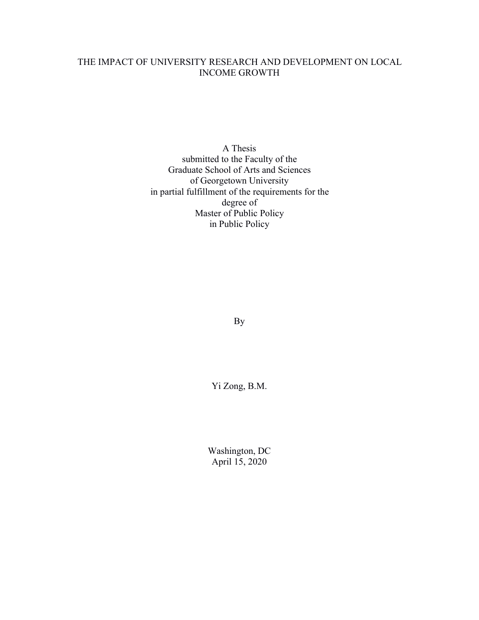### THE IMPACT OF UNIVERSITY RESEARCH AND DEVELOPMENT ON LOCAL INCOME GROWTH

A Thesis submitted to the Faculty of the Graduate School of Arts and Sciences of Georgetown University in partial fulfillment of the requirements for the degree of Master of Public Policy in Public Policy

By

Yi Zong, B.M.

Washington, DC April 15, 2020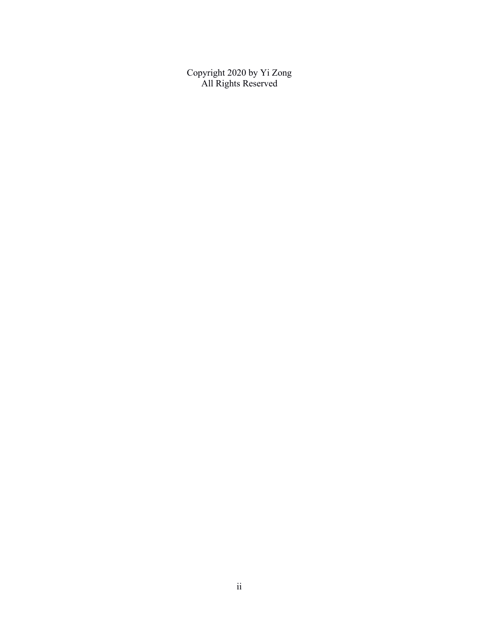Copyright 2020 by Yi Zong All Rights Reserved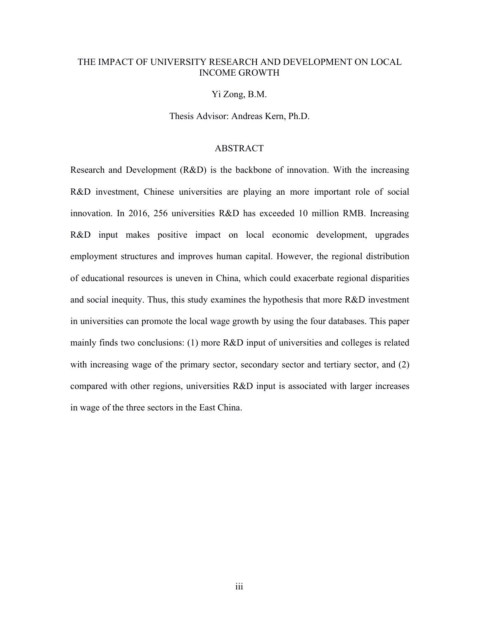### THE IMPACT OF UNIVERSITY RESEARCH AND DEVELOPMENT ON LOCAL INCOME GROWTH

#### Yi Zong, B.M.

Thesis Advisor: Andreas Kern, Ph.D.

### ABSTRACT

Research and Development (R&D) is the backbone of innovation. With the increasing R&D investment, Chinese universities are playing an more important role of social innovation. In 2016, 256 universities R&D has exceeded 10 million RMB. Increasing R&D input makes positive impact on local economic development, upgrades employment structures and improves human capital. However, the regional distribution of educational resources is uneven in China, which could exacerbate regional disparities and social inequity. Thus, this study examines the hypothesis that more  $R&D$  investment in universities can promote the local wage growth by using the four databases. This paper mainly finds two conclusions: (1) more R&D input of universities and colleges is related with increasing wage of the primary sector, secondary sector and tertiary sector, and  $(2)$ compared with other regions, universities R&D input is associated with larger increases in wage of the three sectors in the East China.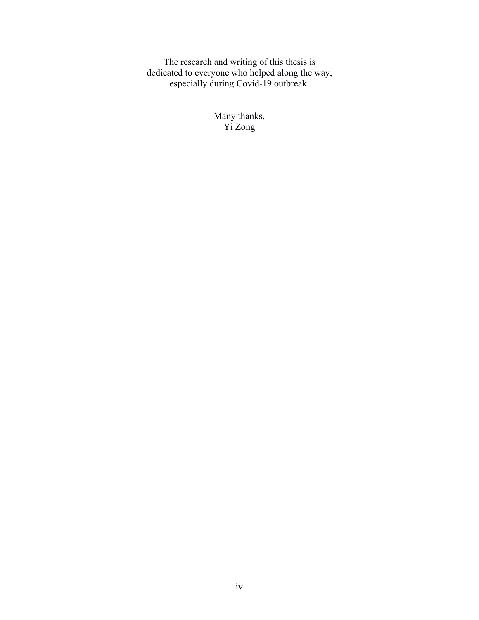The research and writing of this thesis is dedicated to everyone who helped along the way, especially during Covid-19 outbreak.

> Many thanks, Yi Zong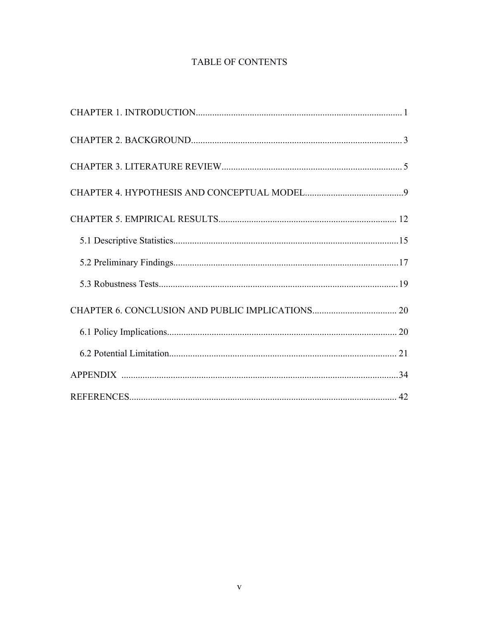### TABLE OF CONTENTS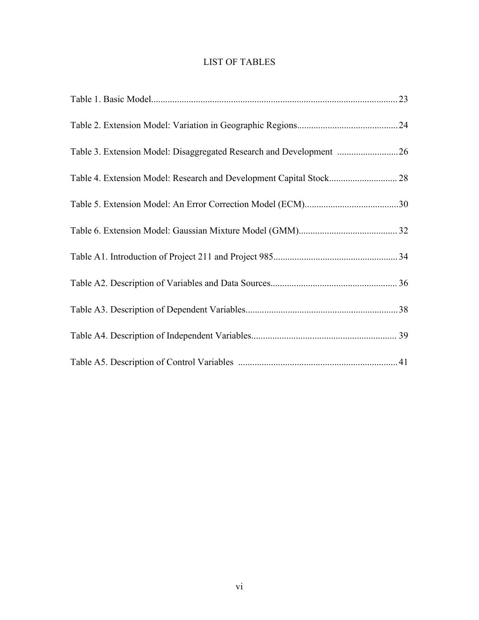### LIST OF TABLES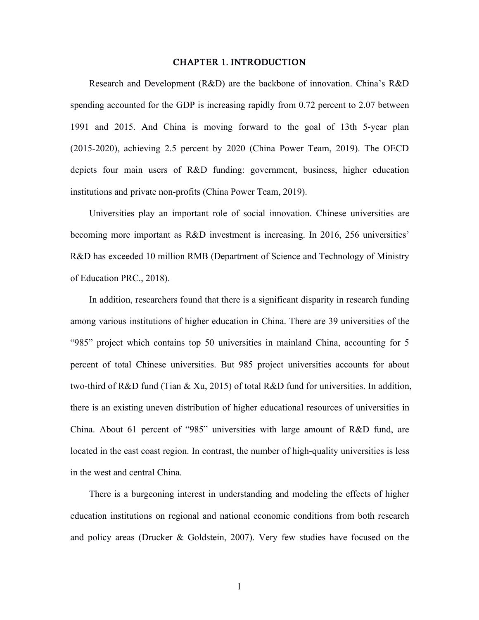#### CHAPTER 1. INTRODUCTION

Research and Development (R&D) are the backbone of innovation. China's R&D spending accounted for the GDP is increasing rapidly from 0.72 percent to 2.07 between 1991 and 2015. And China is moving forward to the goal of 13th 5-year plan (2015-2020), achieving 2.5 percent by 2020 (China Power Team, 2019). The OECD depicts four main users of R&D funding: government, business, higher education institutions and private non-profits (China Power Team, 2019).

Universities play an important role of social innovation. Chinese universities are becoming more important as R&D investment is increasing. In 2016, 256 universities' R&D has exceeded 10 million RMB (Department of Science and Technology of Ministry of Education PRC., 2018).

In addition, researchers found that there is a significant disparity in research funding among various institutions of higher education in China. There are 39 universities of the "985" project which contains top 50 universities in mainland China, accounting for 5 percent of total Chinese universities. But 985 project universities accounts for about two-third of R&D fund (Tian & Xu, 2015) of total R&D fund for universities. In addition, there is an existing uneven distribution of higher educational resources of universities in China. About 61 percent of "985" universities with large amount of R&D fund, are located in the east coast region. In contrast, the number of high-quality universities is less in the west and central China.

There is a burgeoning interest in understanding and modeling the effects of higher education institutions on regional and national economic conditions from both research and policy areas (Drucker & Goldstein, 2007). Very few studies have focused on the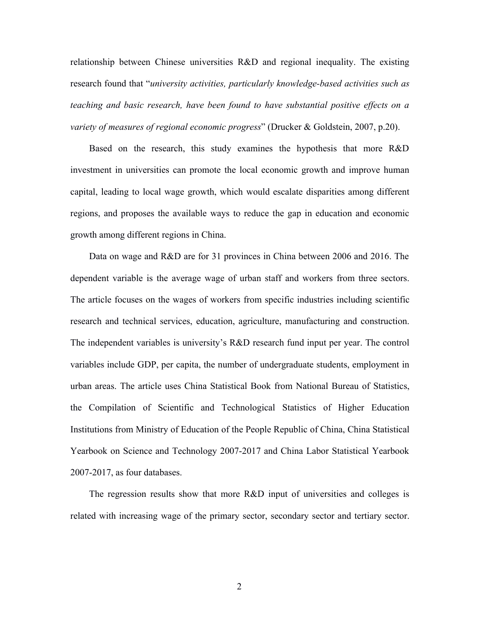relationship between Chinese universities R&D and regional inequality. The existing research found that "*university activities, particularly knowledge-based activities such as teaching and basic research, have been found to have substantial positive ef ects on a variety of measures of regional economic progress*" (Drucker & Goldstein, 2007, p.20).

Based on the research, this study examines the hypothesis that more R&D investment in universities can promote the local economic growth and improve human capital, leading to local wage growth, which would escalate disparities among different regions, and proposes the available ways to reduce the gap in education and economic growth among different regions in China.

Data on wage and R&D are for 31 provinces in China between 2006 and 2016. The dependent variable is the average wage of urban staff and workers from three sectors. The article focuses on the wages of workers from specific industries including scientific research and technical services, education, agriculture, manufacturing and construction. The independent variables is university's R&D research fund input per year. The control variables include GDP, per capita, the number of undergraduate students, employment in urban areas. The article uses China Statistical Book from National Bureau of Statistics, the Compilation of Scientific and Technological Statistics of Higher Education Institutions from Ministry of Education of the People Republic of China, China Statistical Yearbook on Science and Technology 2007-2017 and China Labor Statistical Yearbook 2007-2017, as four databases.

The regression results show that more R&D input of universities and colleges is related with increasing wage of the primary sector, secondary sector and tertiary sector.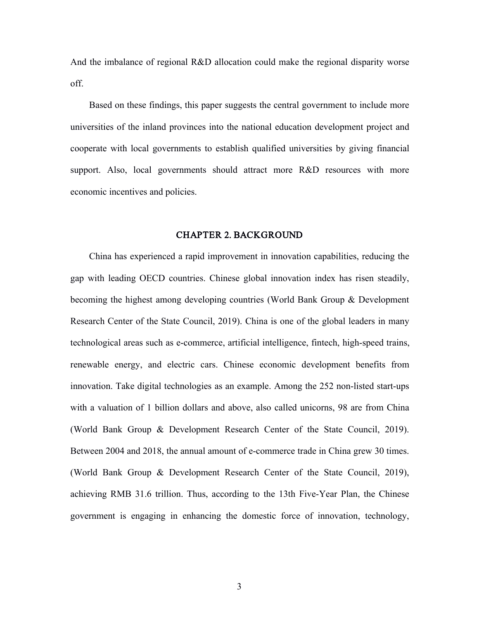And the imbalance of regional R&D allocation could make the regional disparity worse off.

Based on these findings, this paper suggests the central government to include more universities of the inland provinces into the national education development project and cooperate with local governments to establish qualified universities by giving financial support. Also, local governments should attract more R&D resources with more economic incentives and policies.

#### CHAPTER 2. BACKGROUND

China has experienced a rapid improvement in innovation capabilities, reducing the gap with leading OECD countries. Chinese global innovation index has risen steadily, becoming the highest among developing countries (World Bank Group & Development Research Center of the State Council, 2019). China is one of the global leaders in many technological areas such as e-commerce, artificial intelligence, fintech, high-speed trains, renewable energy, and electric cars. Chinese economic development benefits from innovation. Take digital technologies as an example. Among the 252 non-listed start-ups with a valuation of 1 billion dollars and above, also called unicorns, 98 are from China (World Bank Group & Development Research Center of the State Council, 2019). Between 2004 and 2018, the annual amount of e-commerce trade in China grew 30 times. (World Bank Group & Development Research Center of the State Council, 2019), achieving RMB 31.6 trillion. Thus, according to the 13th Five-Year Plan, the Chinese government is engaging in enhancing the domestic force of innovation, technology,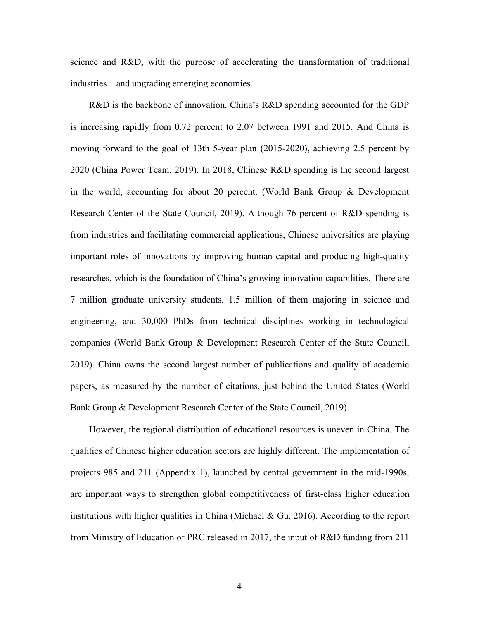science and R&D, with the purpose of accelerating the transformation of traditional industries and upgrading emerging economies.<br>R&D is the backbone of innovation. China's R&D spending accounted for the GDP

is increasing rapidly from 0.72 percent to 2.07 between 1991 and 2015. And China is moving forward to the goal of 13th 5-year plan (2015-2020), achieving 2.5 percent by 2020 (China Power Team, 2019). In 2018, Chinese R&D spending is the second largest in the world, accounting for about 20 percent. (World Bank Group & Development Research Center of the State Council, 2019). Although 76 percent of R&D spending is from industries and facilitating commercial applications, Chinese universities are playing important roles of innovations by improving human capital and producing high-quality researches, which is the foundation of China's growing innovation capabilities. There are 7 million graduate university students, 1.5 million of them majoring in science and engineering, and 30,000 PhDs from technical disciplines working in technological companies (World Bank Group & Development Research Center of the State Council, 2019). China owns the second largest number of publications and quality of academic papers, as measured by the number of citations, just behind the United States (World Bank Group & Development Research Center of the State Council, 2019).

However, the regional distribution of educational resources is uneven in China. The qualities of Chinese higher education sectors are highly different. The implementation of projects 985 and 211 (Appendix 1), launched by central government in the mid-1990s, are important ways to strengthen global competitiveness of first-class higher education institutions with higher qualities in China (Michael & Gu, 2016). According to the report from Ministry of Education of PRC released in 2017, the input of R&D funding from 211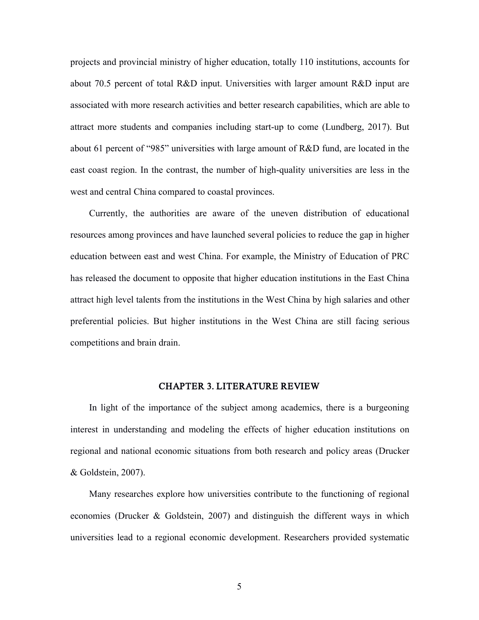projects and provincial ministry of higher education, totally 110 institutions, accounts for about 70.5 percent of total R&D input. Universities with larger amount R&D input are associated with more research activities and better research capabilities, which are able to attract more students and companies including start-up to come (Lundberg, 2017). But about 61 percent of "985" universities with large amount of R&D fund, are located in the east coast region. In the contrast, the number of high-quality universities are less in the west and central China compared to coastal provinces.

Currently, the authorities are aware of the uneven distribution of educational resources among provinces and have launched several policies to reduce the gap in higher education between east and west China. For example, the Ministry of Education of PRC has released the document to opposite that higher education institutions in the East China attract high level talents from the institutions in the West China by high salaries and other preferential policies. But higher institutions in the West China are still facing serious competitions and brain drain.

#### CHAPTER 3. LITERATURE REVIEW

In light of the importance of the subject among academics, there is a burgeoning interest in understanding and modeling the effects of higher education institutions on regional and national economic situations from both research and policy areas (Drucker & Goldstein, 2007).

Many researches explore how universities contribute to the functioning of regional economies (Drucker & Goldstein, 2007) and distinguish the different ways in which universities lead to a regional economic development. Researchers provided systematic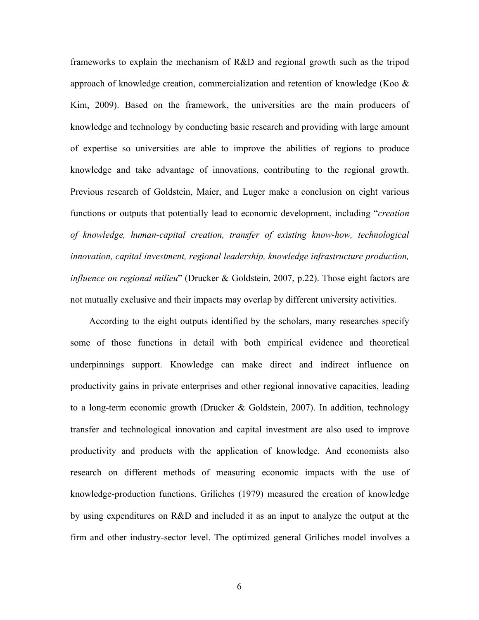frameworks to explain the mechanism of R&D and regional growth such as the tripod approach of knowledge creation, commercialization and retention of knowledge (Koo  $\&$ Kim, 2009). Based on the framework, the universities are the main producers of knowledge and technology by conducting basic research and providing with large amount of expertise so universities are able to improve the abilities of regions to produce knowledge and take advantage of innovations, contributing to the regional growth. Previous research of Goldstein, Maier, and Luger make a conclusion on eight various functions or outputs that potentially lead to economic development, including "*creation of knowledge, human-capital creation, transfer of existing know-how, technological innovation, capital investment, regional leadership, knowledge infrastructure production, influence on regional milieu*" (Drucker & Goldstein, 2007, p.22). Those eight factors are not mutually exclusive and their impacts may overlap by different university activities.

According to the eight outputs identified by the scholars, many researches specify some of those functions in detail with both empirical evidence and theoretical underpinnings support. Knowledge can make direct and indirect influence on productivity gains in private enterprises and other regional innovative capacities, leading to a long-term economic growth (Drucker & Goldstein, 2007). In addition, technology transfer and technological innovation and capital investment are also used to improve productivity and products with the application of knowledge. And economists also research on different methods of measuring economic impacts with the use of knowledge-production functions. Griliches (1979) measured the creation of knowledge by using expenditures on R&D and included it as an input to analyze the output at the firm and other industry-sector level. The optimized general Griliches model involves a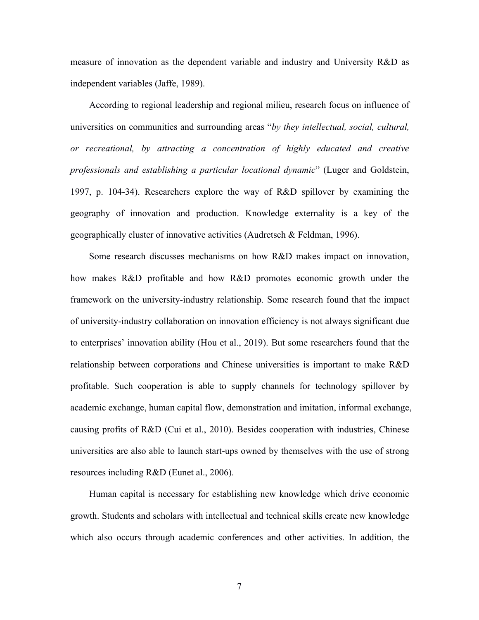measure of innovation as the dependent variable and industry and University R&D as independent variables (Jaffe, 1989).

According to regional leadership and regional milieu, research focus on influence of universities on communities and surrounding areas "*by they intellectual, social, cultural, or recreational, by attracting a concentration of highly educated and creative professionals and establishing a particular locational dynamic*" (Luger and Goldstein, 1997, p. 104-34). Researchers explore the way of R&D spillover by examining the geography of innovation and production. Knowledge externality is a key of the geographically cluster of innovative activities (Audretsch & Feldman, 1996).

Some research discusses mechanisms on how R&D makes impact on innovation, how makes R&D profitable and how R&D promotes economic growth under the framework on the university-industry relationship. Some research found that the impact of university-industry collaboration on innovation efficiency is not always significant due to enterprises' innovation ability (Hou et al., 2019). But some researchers found that the relationship between corporations and Chinese universities is important to make R&D profitable. Such cooperation is able to supply channels for technology spillover by academic exchange, human capital flow, demonstration and imitation, informal exchange, causing profits of R&D (Cui et al., 2010). Besides cooperation with industries, Chinese universities are also able to launch start-ups owned by themselves with the use of strong resources including R&D (Eunet al., 2006).

Human capital is necessary for establishing new knowledge which drive economic growth. Students and scholars with intellectual and technical skills create new knowledge which also occurs through academic conferences and other activities. In addition, the

7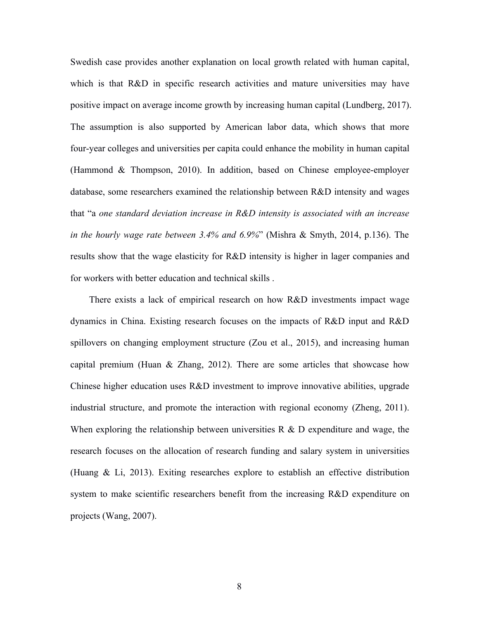Swedish case provides another explanation on local growth related with human capital, which is that R&D in specific research activities and mature universities may have positive impact on average income growth by increasing human capital (Lundberg, 2017). The assumption is also supported by American labor data, which shows that more four-year colleges and universities per capita could enhance the mobility in human capital (Hammond & Thompson, 2010). In addition, based on Chinese employee-employer database, some researchers examined the relationship between R&D intensity and wages that "a *one standard deviation increase in R&D intensity isassociated with an increase in the hourly wage rate between 3.4% and 6.9%*" (Mishra & Smyth, 2014, p.136). The results show that the wage elasticity for R&D intensity is higher in lager companies and for workers with better education and technical skills .

There exists a lack of empirical research on how R&D investments impact wage dynamics in China. Existing research focuses on the impacts of R&D input and R&D spillovers on changing employment structure (Zou et al., 2015), and increasing human capital premium (Huan & Zhang, 2012). There are some articles that showcase how Chinese higher education uses R&D investment to improve innovative abilities, upgrade industrial structure, and promote the interaction with regional economy (Zheng, 2011). When exploring the relationship between universities  $R \& D$  expenditure and wage, the research focuses on the allocation of research funding and salary system in universities (Huang & Li, 2013). Exiting researches explore to establish an effective distribution system to make scientific researchers benefit from the increasing R&D expenditure on projects (Wang, 2007).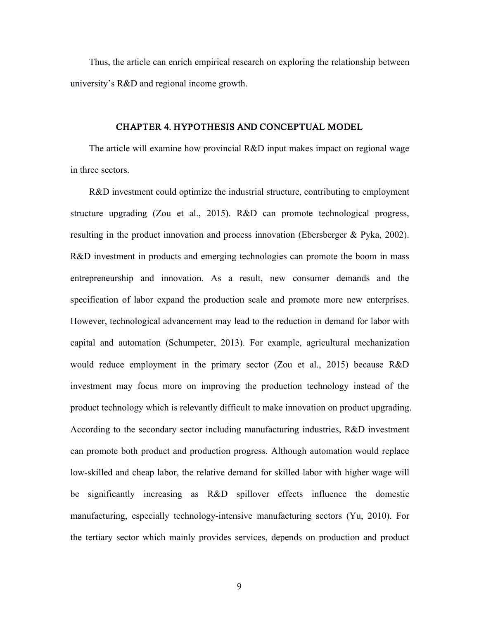Thus, the article can enrich empirical research on exploring the relationship between university's R&D and regional income growth.

#### CHAPTER 4. HYPOTHESIS AND CONCEPTUAL MODEL

The article will examine how provincial R&D input makes impact on regional wage in three sectors.

R&D investment could optimize the industrial structure, contributing to employment structure upgrading (Zou et al., 2015). R&D can promote technological progress, resulting in the product innovation and process innovation (Ebersberger & Pyka, 2002). R&D investment in products and emerging technologies can promote the boom in mass entrepreneurship and innovation. As a result, new consumer demands and the specification of labor expand the production scale and promote more new enterprises. However, technological advancement may lead to the reduction in demand for labor with capital and automation (Schumpeter, 2013). For example, agricultural mechanization would reduce employment in the primary sector (Zou et al., 2015) because R&D investment may focus more on improving the production technology instead of the product technology which is relevantly difficult to make innovation on product upgrading. According to the secondary sector including manufacturing industries, R&D investment can promote both product and production progress. Although automation would replace low-skilled and cheap labor, the relative demand for skilled labor with higher wage will be significantly increasing as R&D spillover effects influence the domestic manufacturing, especially technology-intensive manufacturing sectors (Yu, 2010). For the tertiary sector which mainly provides services, depends on production and product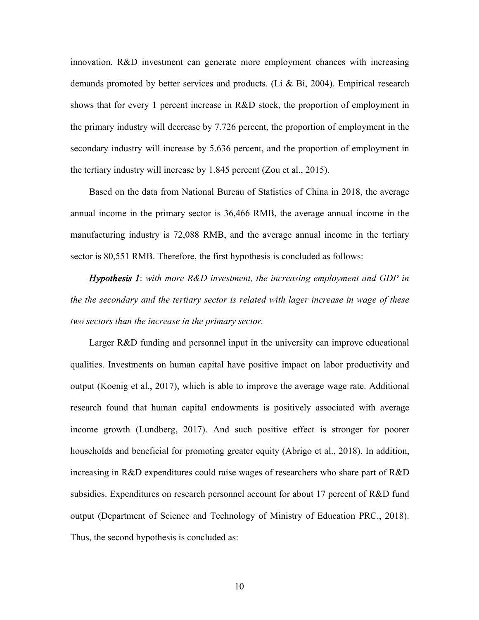innovation. R&D investment can generate more employment chances with increasing demands promoted by better services and products. (Li & Bi, 2004). Empirical research shows that for every 1 percent increase in R&D stock, the proportion of employment in the primary industry will decrease by 7.726 percent, the proportion of employment in the secondary industry will increase by 5.636 percent, and the proportion of employment in the tertiary industry will increase by 1.845 percent (Zou et al., 2015).

Based on the data from National Bureau of Statistics of China in 2018, the average annual income in the primary sector is 36,466 RMB, the average annual income in the manufacturing industry is 72,088 RMB, and the average annual income in the tertiary sector is 80,551 RMB. Therefore, the first hypothesis is concluded as follows:

*Hypothesis 1*: *with more R&D investment, the increasing employment and GDP in the the secondary and the tertiary sector is related with lager increase in wage of these two sectors than the increase in the primary sector.*

Larger R&D funding and personnel input in the university can improve educational qualities. Investments on human capital have positive impact on labor productivity and output (Koenig et al., 2017), which is able to improve the average wage rate. Additional research found that human capital endowments is positively associated with average income growth (Lundberg, 2017). And such positive effect is stronger for poorer households and beneficial for promoting greater equity (Abrigo et al., 2018). In addition, increasing in R&D expenditures could raise wages of researchers who share part of R&D subsidies. Expenditures on research personnel account for about 17 percent of R&D fund output (Department of Science and Technology of Ministry of Education PRC., 2018). Thus, the second hypothesis is concluded as: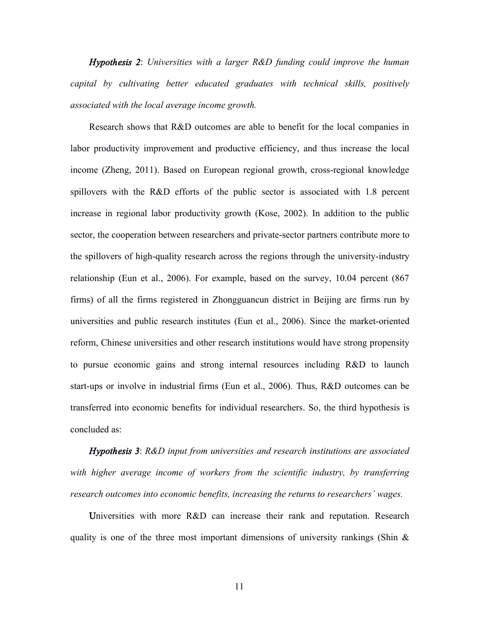*Hypothesis 2*: *Universities with a larger R&D funding could improve the human capital by cultivating better educated graduates with technical skills, positively associated with the local average income growth.*

Research shows that R&D outcomes are able to benefit for the local companies in labor productivity improvement and productive efficiency, and thus increase the local income (Zheng, 2011). Based on European regional growth, cross-regional knowledge spillovers with the R&D efforts of the public sector is associated with 1.8 percent increase in regional labor productivity growth (Kose, 2002). In addition to the public sector, the cooperation between researchers and private-sector partners contribute more to the spillovers of high-quality research across the regions through the university-industry relationship (Eun et al., 2006). For example, based on the survey, 10.04 percent (867 firms) of all the firms registered in Zhongguancun district in Beijing are firms run by universities and public research institutes (Eun et al., 2006). Since the market-oriented reform, Chinese universities and other research institutions would have strong propensity to pursue economic gains and strong internal resources including R&D to launch start-ups or involve in industrial firms (Eun et al., 2006). Thus, R&D outcomes can be transferred into economic benefits for individual researchers. So, the third hypothesis is concluded as:

*Hypothesis 3*: *R&D input from universities and research institutions are associated with higher average income of workers from the scientific industry, by transferring research outcomes into economic benefits, increasing the returns to researchers' wages.*

Universities with more R&D can increase their rank and reputation. Research quality is one of the three most important dimensions of university rankings (Shin  $\&$ 

11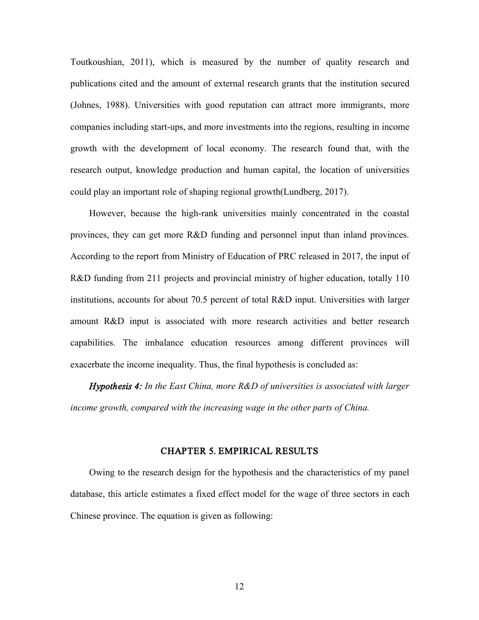Toutkoushian, 2011), which is measured by the number of quality research and publications cited and the amount of external research grants that the institution secured (Johnes, 1988). Universities with good reputation can attract more immigrants, more companies including start-ups, and more investments into the regions, resulting in income growth with the development of local economy. The research found that, with the research output, knowledge production and human capital, the location of universities could play an important role of shaping regional growth(Lundberg, 2017).

However, because the high-rank universities mainly concentrated in the coastal provinces, they can get more R&D funding and personnel input than inland provinces. According to the report from Ministry of Education of PRC released in 2017, the input of R&D funding from 211 projects and provincial ministry of higher education, totally 110 institutions, accounts for about 70.5 percent of total R&D input. Universities with larger amount R&D input is associated with more research activities and better research capabilities. The imbalance education resources among different provinces will exacerbate the income inequality. Thus, the final hypothesis is concluded as:

*Hypothesis 4: In the East China, more R&D of universities is associated with larger income growth, compared with the increasing wage in the other parts of China.*

#### CHAPTER 5. EMPIRICAL RESULTS

Owing to the research design for the hypothesis and the characteristics of my panel database, this article estimates a fixed effect model for the wage of three sectors in each Chinese province. The equation is given as following: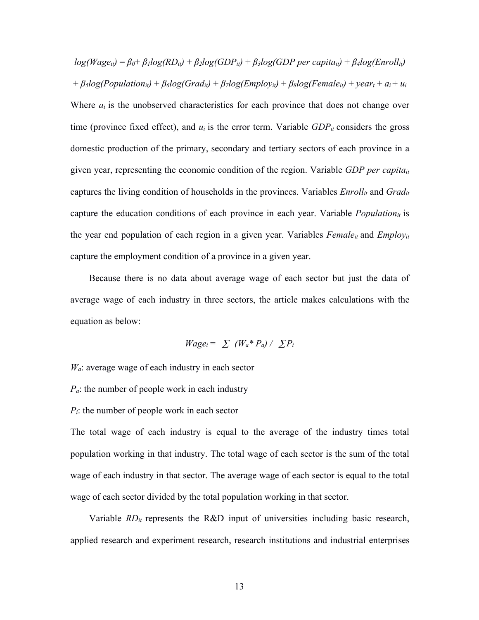$log(Wage_{it}) = \beta_0 + \beta_1 log(RD_{it}) + \beta_2 log(GDP_{it}) + \beta_3 log(GDP per\ capita_{it}) + \beta_4 log(Enroll_{it})$ +  $\beta_5 log(Population_{it}) + \beta_6 log(Grad_{it}) + \beta_7 log(Employ_{it}) + \beta_8 log(Female_{it}) + year_t + a_i + u_i$ Where  $a_i$  is the unobserved characteristics for each province that does not change over time (province fixed effect), and  $u_i$  is the error term. Variable  $GDP_i$  considers the gross domestic production of the primary, secondary and tertiary sectors of each province in a given year, representing the economic condition of the region. Variable *GDP per capitait* captures the living condition of households in the provinces. Variables *Enrollit* and *Gradit* capture the education conditions of each province in each year. Variable *Populationit* is the year end population of each region in a given year. Variables *Femaleit* and *Employit* capture the employment condition of a province in a given year.

Because there is no data about average wage of each sector but just the data of average wage of each industry in three sectors, the article makes calculations with the equation as below:

$$
Wage_i = \sum (W_a * P_a) / \sum P_i
$$

*Wa*: average wage of each industry in each sector

- *Pa*: the number of people work in each industry
- *Pi*: the number of people work in each sector

The total wage of each industry is equal to the average of the industry times total population working in that industry. The total wage of each sector is the sum of the total wage of each industry in that sector. The average wage of each sector is equal to the total wage of each sector divided by the total population working in that sector.

Variable *RDit* represents the R&D input of universities including basic research, applied research and experiment research, research institutions and industrial enterprises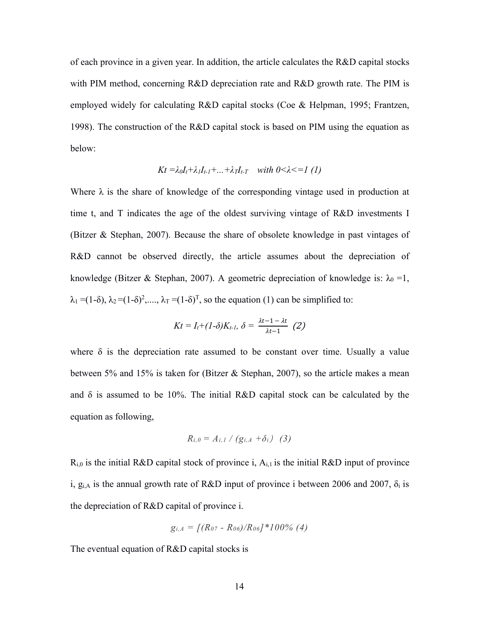of each province in a given year. In addition, the article calculates the R&D capital stocks with PIM method, concerning R&D depreciation rate and R&D growth rate. The PIM is employed widely for calculating R&D capital stocks (Coe & Helpman, 1995; Frantzen, 1998). The construction of the R&D capital stock is based on PIM using the equation as below:

$$
Kt = \lambda_0 I_t + \lambda_1 I_{t-1} + \dots + \lambda_T I_{t-T}
$$
 with  $0 < \lambda < 1$  (1)

Where  $\lambda$  is the share of knowledge of the corresponding vintage used in production at time t, and T indicates the age of the oldest surviving vintage of R&D investments I (Bitzer  $&$  Stephan, 2007). Because the share of obsolete knowledge in past vintages of R&D cannot be observed directly, the article assumes about the depreciation of knowledge (Bitzer & Stephan, 2007). A geometric depreciation of knowledge is:  $\lambda_0 = 1$ ,  $\lambda_1 = (1-\delta), \lambda_2 = (1-\delta)^2, \dots, \lambda_T = (1-\delta)^T$ , so the equation (1) can be simplified to:

$$
Kt = I_t + (1-\delta)K_{t-1}, \ \delta = \frac{\lambda t - 1 - \lambda t}{\lambda t - 1} \ \ (2)
$$

where  $\delta$  is the depreciation rate assumed to be constant over time. Usually a value between 5% and 15% is taken for (Bitzer & Stephan, 2007), so the article makes a mean and  $\delta$  is assumed to be 10%. The initial R&D capital stock can be calculated by the equation as following,

$$
R_{i,0}=A_{i,1}\bigm/ (g_{i,A}+\delta_i)\quad (3)
$$

 $R_{i,0}$  is the initial R&D capital stock of province i,  $A_{i,1}$  is the initial R&D input of province i,  $g_{i,A}$  is the annual growth rate of R&D input of province i between 2006 and 2007,  $\delta_i$  is the depreciation of R&D capital of province i.

$$
g_{i,A} = \left[(R_{07} - R_{06})/R_{06}\right]^*100\%\ (4)
$$

The eventual equation of R&D capital stocks is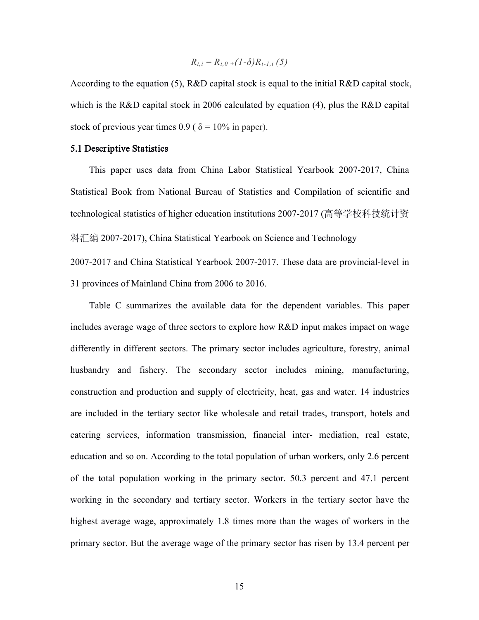$$
R_{t,i} = R_{i,0} + (1-\delta)R_{t-1,i} (5)
$$

According to the equation (5), R&D capital stock is equal to the initial R&D capital stock, which is the R&D capital stock in 2006 calculated by equation (4), plus the R&D capital stock of previous year times 0.9 (  $\delta$  = 10% in paper).

#### 5.1 Descriptive Statistics

This paper uses data from China Labor Statistical Yearbook 2007-2017, China Statistical Book from National Bureau of Statistics and Compilation of scientific and technological statistics of higher education institutions 2007-2017 (高等学校科技统计资 料汇编 2007-2017), China Statistical Yearbook on Science and Technology

2007-2017 and China Statistical Yearbook 2007-2017. These data are provincial-level in 31 provinces of Mainland China from 2006 to 2016.

Table C summarizes the available data for the dependent variables. This paper includes average wage of three sectors to explore how R&D input makes impact on wage differently in different sectors. The primary sector includes agriculture, forestry, animal husbandry and fishery. The secondary sector includes mining, manufacturing, construction and production and supply of electricity, heat, gas and water. 14 industries are included in the tertiary sector like wholesale and retail trades, transport, hotels and catering services, information transmission, financial inter- mediation, real estate, education and so on. According to the total population of urban workers, only 2.6 percent of the total population working in the primary sector. 50.3 percent and 47.1 percent working in the secondary and tertiary sector. Workers in the tertiary sector have the highest average wage, approximately 1.8 times more than the wages of workers in the primary sector. But the average wage of the primary sector has risen by 13.4 percent per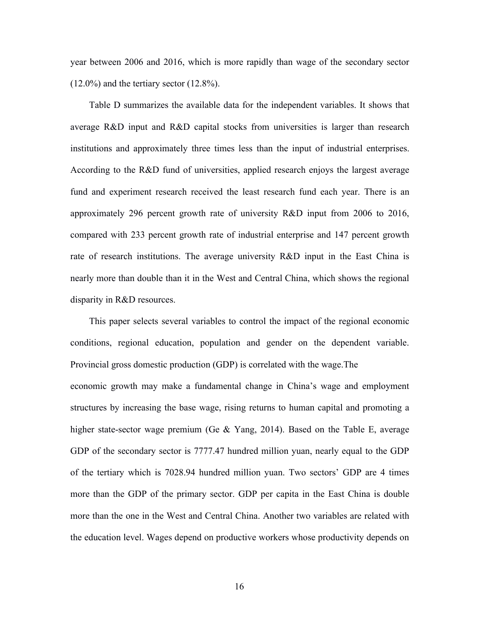year between 2006 and 2016, which is more rapidly than wage of the secondary sector  $(12.0\%)$  and the tertiary sector  $(12.8\%).$ 

Table D summarizes the available data for the independent variables. It shows that average R&D input and R&D capital stocks from universities is larger than research institutions and approximately three times less than the input of industrial enterprises. According to the R&D fund of universities, applied research enjoys the largest average fund and experiment research received the least research fund each year. There is an approximately 296 percent growth rate of university R&D input from 2006 to 2016, compared with 233 percent growth rate of industrial enterprise and 147 percent growth rate of research institutions. The average university R&D input in the East China is nearly more than double than it in the West and Central China, which shows the regional disparity in R&D resources.

This paper selects several variables to control the impact of the regional economic conditions, regional education, population and gender on the dependent variable. Provincial gross domestic production (GDP) is correlated with the wage.The economic growth may make a fundamental change in China's wage and employment structures by increasing the base wage, rising returns to human capital and promoting a higher state-sector wage premium (Ge & Yang, 2014). Based on the Table E, average GDP of the secondary sector is 7777.47 hundred million yuan, nearly equal to the GDP of the tertiary which is 7028.94 hundred million yuan. Two sectors' GDP are 4 times more than the GDP of the primary sector. GDP per capita in the East China is double more than the one in the West and Central China. Another two variables are related with the education level. Wages depend on productive workers whose productivity depends on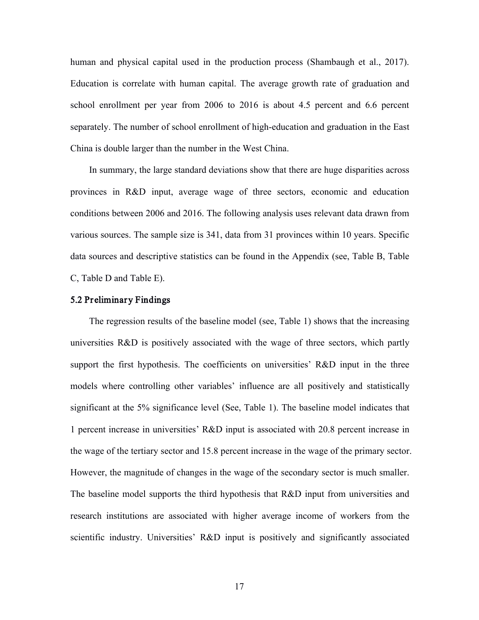human and physical capital used in the production process (Shambaugh et al., 2017). Education is correlate with human capital. The average growth rate of graduation and school enrollment per year from 2006 to 2016 is about 4.5 percent and 6.6 percent separately. The number of school enrollment of high-education and graduation in the East China is double larger than the number in the West China.

In summary, the large standard deviations show that there are huge disparities across provinces in R&D input, average wage of three sectors, economic and education conditions between 2006 and 2016. The following analysis uses relevant data drawn from various sources. The sample size is 341, data from 31 provinces within 10 years. Specific data sources and descriptive statistics can be found in the Appendix (see, Table B, Table C, Table D and Table E).

#### 5.2 Preliminary Findings

The regression results of the baseline model (see, Table 1) shows that the increasing universities R&D is positively associated with the wage of three sectors, which partly support the first hypothesis. The coefficients on universities' R&D input in the three models where controlling other variables' influence are all positively and statistically significant at the 5% significance level (See, Table 1). The baseline model indicates that 1 percent increase in universities' R&D input is associated with 20.8 percent increase in the wage of the tertiary sector and 15.8 percent increase in the wage of the primary sector. However, the magnitude of changes in the wage of the secondary sector is much smaller. The baseline model supports the third hypothesis that R&D input from universities and research institutions are associated with higher average income of workers from the scientific industry. Universities' R&D input is positively and significantly associated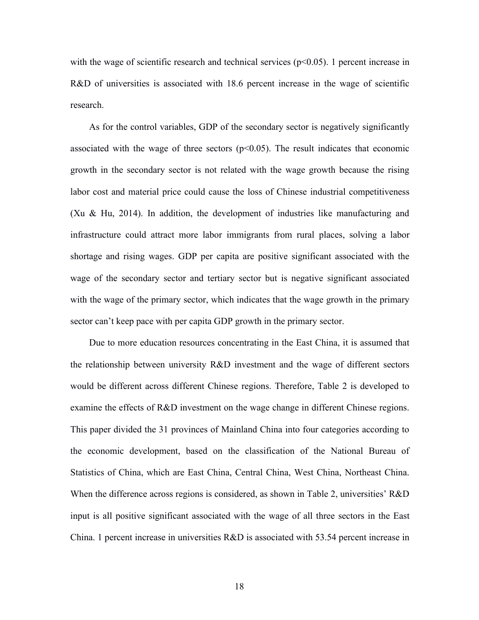with the wage of scientific research and technical services ( $p<0.05$ ). 1 percent increase in R&D of universities is associated with 18.6 percent increase in the wage of scientific research.

As for the control variables, GDP of the secondary sector is negatively significantly associated with the wage of three sectors  $(p<0.05)$ . The result indicates that economic growth in the secondary sector is not related with the wage growth because the rising labor cost and material price could cause the loss of Chinese industrial competitiveness (Xu & Hu, 2014). In addition, the development of industries like manufacturing and infrastructure could attract more labor immigrants from rural places, solving a labor shortage and rising wages. GDP per capita are positive significant associated with the wage of the secondary sector and tertiary sector but is negative significant associated with the wage of the primary sector, which indicates that the wage growth in the primary sector can't keep pace with per capita GDP growth in the primary sector.

Due to more education resources concentrating in the East China, it is assumed that the relationship between university R&D investment and the wage of different sectors would be different across different Chinese regions. Therefore, Table 2 is developed to examine the effects of R&D investment on the wage change in different Chinese regions. This paper divided the 31 provinces of Mainland China into four categories according to the economic development, based on the classification of the National Bureau of Statistics of China, which are East China, Central China, West China, Northeast China. When the difference across regions is considered, as shown in Table 2, universities' R&D input is all positive significant associated with the wage of all three sectors in the East China. 1 percent increase in universities R&D is associated with 53.54 percent increase in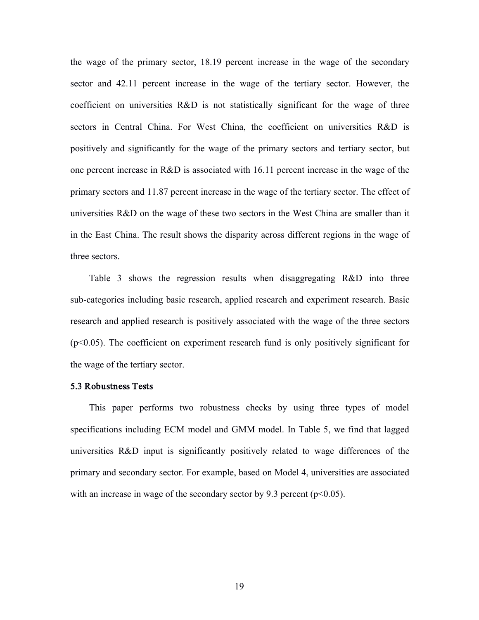the wage of the primary sector, 18.19 percent increase in the wage of the secondary sector and 42.11 percent increase in the wage of the tertiary sector. However, the coefficient on universities R&D is not statistically significant for the wage of three sectors in Central China. For West China, the coefficient on universities R&D is positively and significantly for the wage of the primary sectors and tertiary sector, but one percent increase in R&D is associated with 16.11 percent increase in the wage of the primary sectors and 11.87 percent increase in the wage of the tertiary sector. The effect of universities R&D on the wage of these two sectors in the West China are smaller than it in the East China. The result shows the disparity across different regions in the wage of three sectors.

Table 3 shows the regression results when disaggregating R&D into three sub-categories including basic research, applied research and experiment research. Basic research and applied research is positively associated with the wage of the three sectors (p<0.05). The coefficient on experiment research fund is only positively significant for the wage of the tertiary sector.

#### 5.3 Robustness Tests

This paper performs two robustness checks by using three types of model specifications including ECM model and GMM model. In Table 5, we find that lagged universities R&D input is significantly positively related to wage differences of the primary and secondary sector. For example, based on Model 4, universities are associated with an increase in wage of the secondary sector by 9.3 percent ( $p<0.05$ ).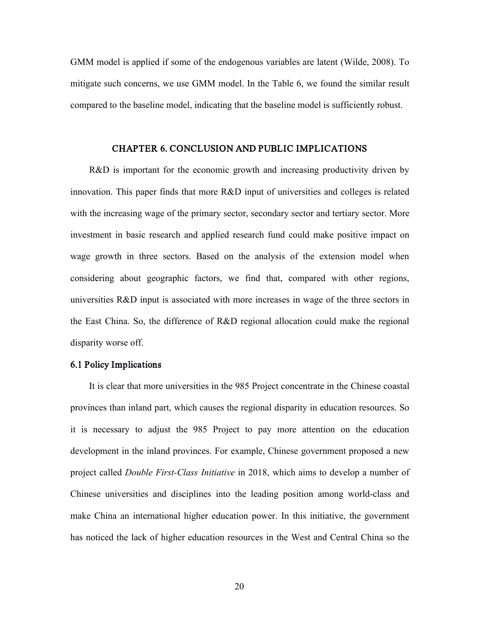GMM model is applied if some of the endogenous variables are latent (Wilde, 2008). To mitigate such concerns, we use GMM model. In the Table 6, we found the similar result compared to the baseline model, indicating that the baseline model is sufficiently robust.

#### CHAPTER 6. CONCLUSION AND PUBLIC IMPLICATIONS

R&D is important for the economic growth and increasing productivity driven by innovation. This paper finds that more R&D input of universities and colleges is related with the increasing wage of the primary sector, secondary sector and tertiary sector. More investment in basic research and applied research fund could make positive impact on wage growth in three sectors. Based on the analysis of the extension model when considering about geographic factors, we find that, compared with other regions, universities R&D input is associated with more increases in wage of the three sectors in the East China. So, the difference of R&D regional allocation could make the regional disparity worse off.

#### 6.1 Policy Implications

It is clear that more universities in the 985 Project concentrate in the Chinese coastal provinces than inland part, which causes the regional disparity in education resources. So it is necessary to adjust the 985 Project to pay more attention on the education development in the inland provinces. For example, Chinese government proposed a new project called *Double First-Class Initiative* in 2018, which aims to develop a number of Chinese universities and disciplines into the leading position among world-class and make China an international higher education power. In this initiative, the government has noticed the lack of higher education resources in the West and Central China so the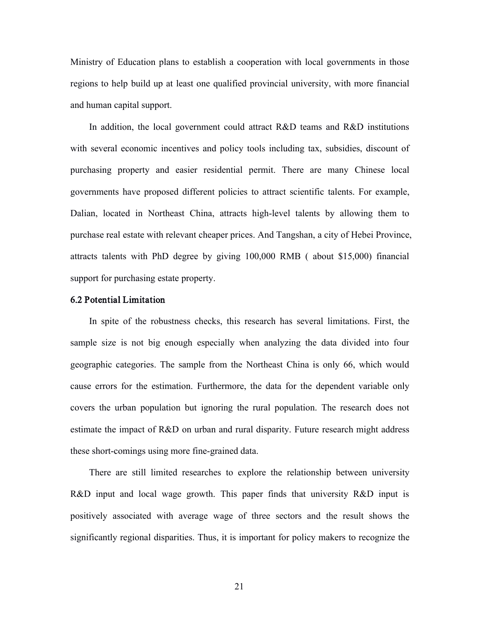Ministry of Education plans to establish a cooperation with local governments in those regions to help build up at least one qualified provincial university, with more financial and human capital support.

In addition, the local government could attract R&D teams and R&D institutions with several economic incentives and policy tools including tax, subsidies, discount of purchasing property and easier residential permit. There are many Chinese local governments have proposed different policies to attract scientific talents. For example, Dalian, located in Northeast China, attracts high-level talents by allowing them to purchase real estate with relevant cheaper prices. And Tangshan, a city of Hebei Province, attracts talents with PhD degree by giving 100,000 RMB ( about \$15,000) financial support for purchasing estate property.

#### 6.2 Potential Limitation

In spite of the robustness checks, this research has several limitations. First, the sample size is not big enough especially when analyzing the data divided into four geographic categories. The sample from the Northeast China is only 66, which would cause errors for the estimation. Furthermore, the data for the dependent variable only covers the urban population but ignoring the rural population. The research does not estimate the impact of R&D on urban and rural disparity. Future research might address these short-comings using more fine-grained data.

There are still limited researches to explore the relationship between university R&D input and local wage growth. This paper finds that university R&D input is positively associated with average wage of three sectors and the result shows the significantly regional disparities. Thus, it is important for policy makers to recognize the

21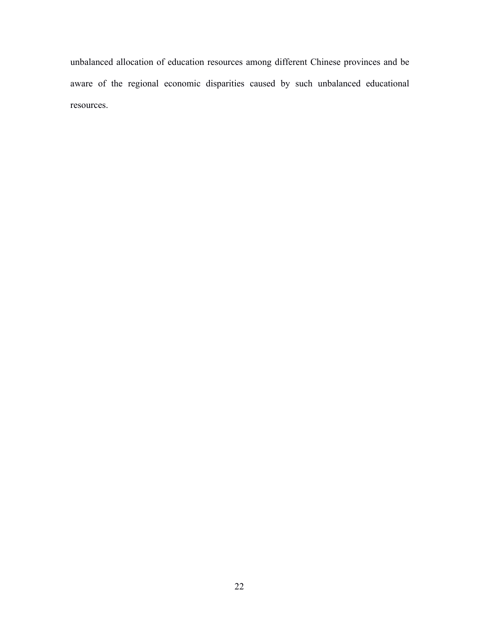unbalanced allocation of education resources among different Chinese provinces and be aware of the regional economic disparities caused by such unbalanced educational resources.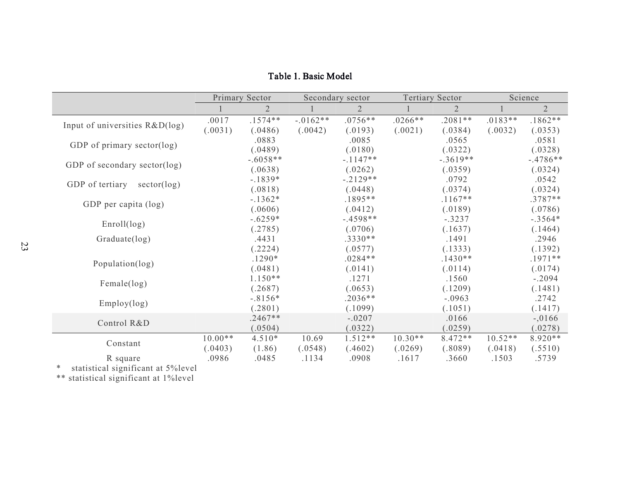|                                |           | Primary Sector |            | Secondary sector |           | <b>Tertiary Sector</b> |           | Science        |
|--------------------------------|-----------|----------------|------------|------------------|-----------|------------------------|-----------|----------------|
|                                |           | $\overline{2}$ |            | $\overline{2}$   |           | $\overline{2}$         |           | $\overline{2}$ |
|                                | .0017     | $.1574**$      | $-.0162**$ | $.0756**$        | $.0266**$ | $.2081**$              | $.0183**$ | $.1862**$      |
| Input of universities R&D(log) | (.0031)   | (.0486)        | (.0042)    | (.0193)          | (.0021)   | (.0384)                | (.0032)   | (.0353)        |
|                                |           | .0883          |            | .0085            |           | .0565                  |           | .0581          |
| GDP of primary sector(log)     |           | (.0489)        |            | (.0180)          |           | (.0322)                |           | (.0328)        |
|                                |           | $-.6058**$     |            | $-.1147**$       |           | $-.3619**$             |           | $-.4786**$     |
| GDP of secondary sector(log)   |           | (.0638)        |            | (.0262)          |           | (.0359)                |           | (.0324)        |
|                                |           | $-.1839*$      |            | $-.2129**$       |           | .0792                  |           | .0542          |
| GDP of tertiary<br>sector(log) |           | (.0818)        |            | (.0448)          |           | (.0374)                |           | (.0324)        |
|                                |           | $-1362*$       |            | $.1895**$        |           | $.1167**$              |           | $.3787**$      |
| GDP per capita (log)           |           | (.0606)        |            | (.0412)          |           | (.0189)                |           | (.0786)        |
|                                |           | $-.6259*$      |            | $-.4598**$       |           | $-.3237$               |           | $-.3564*$      |
| Enroll(log)                    |           | (.2785)        |            | (.0706)          |           | (.1637)                |           | (.1464)        |
| Graduate(log)                  |           | .4431          |            | $.3330**$        |           | .1491                  |           | .2946          |
|                                |           | (.2224)        |            | (.0577)          |           | (.1333)                |           | (.1392)        |
|                                |           | $.1290*$       |            | $.0284**$        |           | $.1430**$              |           | $.1971**$      |
| Population(log)                |           | (.0481)        |            | (.0141)          |           | (.0114)                |           | (.0174)        |
|                                |           | $1.150**$      |            | .1271            |           | .1560                  |           | $-.2094$       |
| Female(log)                    |           | (.2687)        |            | (.0653)          |           | (.1209)                |           | (.1481)        |
|                                |           | $-.8156*$      |            | $.2036**$        |           | $-.0963$               |           | .2742          |
| Employ(log)                    |           | (.2801)        |            | (.1099)          |           | (.1051)                |           | (.1417)        |
|                                |           | $.2467**$      |            | $-.0207$         |           | .0166                  |           | $-.0166$       |
| Control R&D                    |           | (.0504)        |            | (.0322)          |           | (.0259)                |           | (.0278)        |
|                                | $10.00**$ | $4.510*$       | 10.69      | $1.512**$        | $10.30**$ | $8.472**$              | $10.52**$ | $8.920**$      |
| Constant                       | (.0403)   | (1.86)         | (.0548)    | (.4602)          | (.0269)   | (.8089)                | (.0418)   | (.5510)        |
| R square                       | .0986     | .0485          | .1134      | .0908            | .1617     | .3660                  | .1503     | .5739          |

Table 1. Basic Model

\* statistical significant at 5%level

\*\* statistical significant at 1%level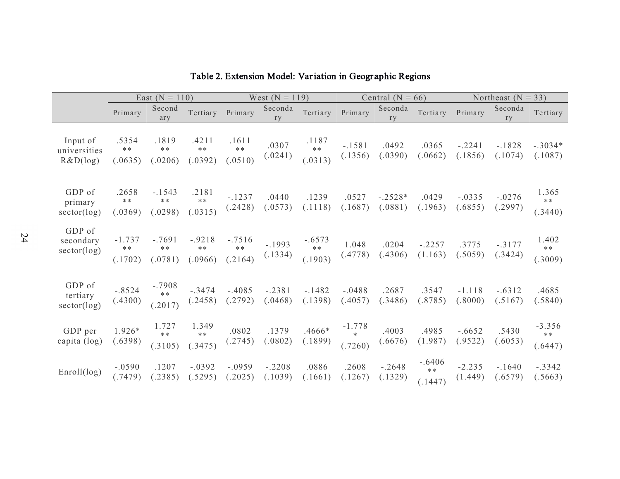|                                      |                              | East ( $N = 110$ )               |                              |                             | West $(N = 119)$    |                              |                               | Central ( $N = 66$ ) | Northeast ( $N = 33$ )      |                     |                     |                              |
|--------------------------------------|------------------------------|----------------------------------|------------------------------|-----------------------------|---------------------|------------------------------|-------------------------------|----------------------|-----------------------------|---------------------|---------------------|------------------------------|
|                                      | Primary                      | Second<br>ary                    | Tertiary                     | Primary                     | Seconda<br>ry       | Tertiary                     | Primary                       | Seconda<br>ry        | Tertiary                    | Primary             | Seconda<br>ry       | Tertiary                     |
| Input of<br>universities<br>R&D(log) | .5354<br>$**$<br>(.0635)     | .1819<br>$***$<br>(.0206)        | .4211<br>$***$<br>(.0392)    | .1611<br>$**$<br>(.0510)    | .0307<br>(.0241)    | .1187<br>$**$<br>(.0313)     | $-.1581$<br>(.1356)           | .0492<br>(.0390)     | .0365<br>(.0662)            | $-.2241$<br>(.1856) | $-1828$<br>(.1074)  | $-.3034*$<br>(.1087)         |
| GDP of<br>primary<br>sector(log)     | .2658<br>$***$<br>(.0369)    | $-1543$<br>$\ast\ast$<br>(.0298) | .2181<br>$**$<br>(.0315)     | $-.1237$<br>(.2428)         | .0440<br>(.0573)    | .1239<br>(.1118)             | .0527<br>(.1687)              | $-.2528*$<br>(.0881) | .0429<br>(.1963)            | $-.0335$<br>(.6855) | $-.0276$<br>(.2997) | 1.365<br>**<br>(.3440)       |
| GDP of<br>secondary<br>sector(log)   | $-1.737$<br>$***$<br>(.1702) | $-.7691$<br>$***$<br>(.0781)     | $-.9218$<br>$***$<br>(.0966) | $-.7516$<br>$**$<br>(.2164) | $-1993$<br>(.1334)  | $-.6573$<br>$***$<br>(.1903) | 1.048<br>(.4778)              | .0204<br>(.4306)     | $-.2257$<br>(1.163)         | .3775<br>(.5059)    | $-.3177$<br>(.3424) | 1.402<br>**<br>(.3009)       |
| GDP of<br>tertiary<br>sector(log)    | $-.8524$<br>(.4300)          | $-.7908$<br>$***$<br>(.2017)     | $-.3474$<br>(.2458)          | $-.4085$<br>(.2792)         | $-.2381$<br>(.0468) | $-1482$<br>(.1398)           | $-.0488$<br>(.4057)           | .2687<br>(.3486)     | .3547<br>(.8785)            | $-1.118$<br>(.8000) | $-.6312$<br>(.5167) | .4685<br>(.5840)             |
| GDP per<br>capita (log)              | 1.926*<br>(.6398)            | 1.727<br>$**$<br>(.3105)         | 1.349<br>$**$<br>(.3475)     | .0802<br>(.2745)            | .1379<br>(.0802)    | .4666*<br>(.1899)            | $-1.778$<br>$\ast$<br>(.7260) | .4003<br>(.6676)     | .4985<br>(1.987)            | $-.6652$<br>(.9522) | .5430<br>(.6053)    | $-3.356$<br>$***$<br>(.6447) |
| Enroll(log)                          | $-.0590$<br>(.7479)          | .1207<br>(.2385)                 | $-.0392$<br>(.5295)          | $-.0959$<br>(.2025)         | $-.2208$<br>(.1039) | .0886<br>(.1661)             | .2608<br>(.1267)              | $-.2648$<br>(.1329)  | $-.6406$<br>$**$<br>(.1447) | $-2.235$<br>(1.449) | $-1640$<br>(.6579)  | $-.3342$<br>(.5663)          |

# Table 2. Extension Model: Variation in Geogr aphic Regions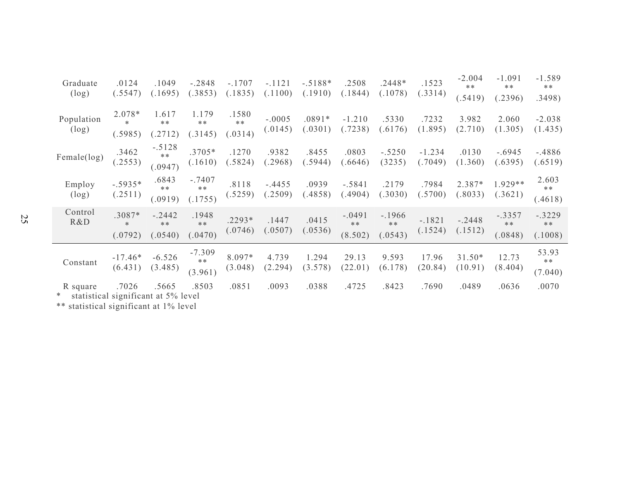| Graduate<br>(log)                                 | .0124<br>(.5547)            | .1049<br>(.1695)            | $-.2848$<br>(.3853)          | $-.1707$<br>(.1835)      | $-.1121$<br>(.1100) | $-.5188*$<br>(.1910) | .2508<br>(.1844)            | $.2448*$<br>(.1078)        | .1523<br>(.3314)    | $-2.004$<br>$**$<br>(.5419) | $-1.091$<br>$***$<br>.2396) | $-1.589$<br>$***$<br>.3498) |
|---------------------------------------------------|-----------------------------|-----------------------------|------------------------------|--------------------------|---------------------|----------------------|-----------------------------|----------------------------|---------------------|-----------------------------|-----------------------------|-----------------------------|
| Population<br>(log)                               | 2.078*<br>$\ast$<br>(.5985) | 1.617<br>$***$<br>.2712)    | 1.179<br>$***$<br>.3145)     | .1580<br>$**$<br>(.0314) | $-.0005$<br>(.0145) | $.0891*$<br>(.0301)  | $-1.210$<br>(.7238)         | .5330<br>(.6176)           | .7232<br>(1.895)    | 3.982<br>(2.710)            | 2.060<br>(1.305)            | $-2.038$<br>(1.435)         |
| Female(log)                                       | .3462<br>(.2553)            | $-.5128$<br>$**$<br>(.0947) | $.3705*$<br>(.1610)          | .1270<br>(.5824)         | .9382<br>.2968)     | .8455<br>(.5944)     | .0803<br>.6646)             | $-.5250$<br>(3235)         | $-1.234$<br>(.7049) | .0130<br>(1.360)            | $-.6945$<br>(.6395)         | $-.4886$<br>(.6519)         |
| Employ<br>$(\log)$                                | $-.5935*$<br>(.2511)        | .6843<br>**<br>(.0919)      | $-.7407$<br>$**$<br>(0.1755) | .8118<br>(.5259)         | $-.4455$<br>.2509)  | .0939<br>(.4858)     | $-.5841$<br>(.4904)         | .2179<br>(.3030)           | .7984<br>(.5700)    | 2.387*<br>.8033)            | $1.929**$<br>(.3621)        | 2.603<br>$***$<br>(.4618)   |
| Control<br>R&D                                    | .3087*<br>$\ast$<br>(.0792) | $-.2442$<br>$***$<br>.0540) | .1948<br>$**$<br>.0470)      | $.2293*$<br>(.0746)      | .1447<br>(.0507)    | .0415<br>(.0536)     | $-.0491$<br>$**$<br>(8.502) | $-1966$<br>$**$<br>(.0543) | $-.1821$<br>(.1524) | $-.2448$<br>(.1512)         | $-.3357$<br>$**$<br>(.0848) | $-.3229$<br>$**$<br>(.1008) |
| Constant                                          | $-17.46*$<br>(6.431)        | $-6.526$<br>(3.485)         | $-7.309$<br>$***$<br>(3.961) | 8.097*<br>(3.048)        | 4.739<br>(2.294)    | 1.294<br>(3.578)     | 29.13<br>(22.01)            | 9.593<br>(6.178)           | 17.96<br>(20.84)    | $31.50*$<br>(10.91)         | 12.73<br>(8.404)            | 53.93<br>$**$<br>(7.040)    |
| R square<br>* statistical significant at 5% level | .7026                       | .5665                       | .8503                        | .0851                    | .0093               | .0388                | .4725                       | .8423                      | .7690               | .0489                       | .0636                       | .0070                       |

\*\* statistical significant at 1% level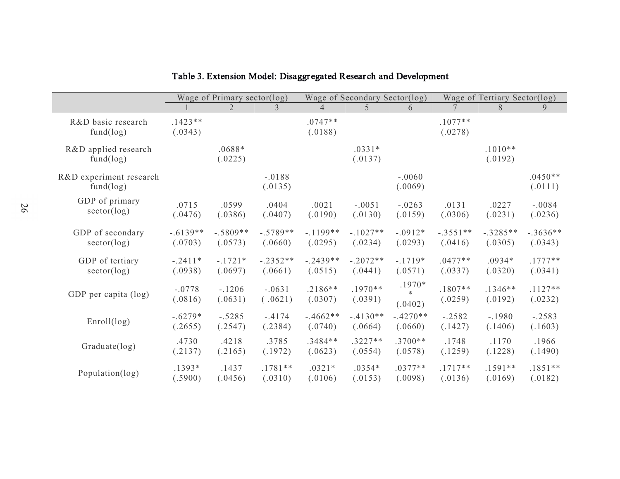|                                      |                      | Wage of Primary sector(log) |                     |                      | Wage of Secondary Sector(log) |                               | Wage of Tertiary Sector(log) |                      |                      |  |
|--------------------------------------|----------------------|-----------------------------|---------------------|----------------------|-------------------------------|-------------------------------|------------------------------|----------------------|----------------------|--|
|                                      |                      | $\overline{2}$              | 3                   | $\overline{4}$       | 5                             | 6                             |                              | 8                    | 9                    |  |
| R&D basic research<br>fund(log)      | $.1423**$<br>(.0343) |                             |                     | $.0747**$<br>(.0188) |                               |                               | $.1077**$<br>(.0278)         |                      |                      |  |
| R&D applied research<br>fund(log)    |                      | $.0688*$<br>(.0225)         |                     |                      | $.0331*$<br>(.0137)           |                               |                              | $.1010**$<br>(.0192) |                      |  |
| R&D experiment research<br>fund(log) |                      |                             | $-.0188$<br>(.0135) |                      |                               | $-.0060$<br>(.0069)           |                              |                      | $.0450**$<br>(.0111) |  |
| GDP of primary                       | .0715                | .0599                       | .0404               | .0021                | $-.0051$                      | $-.0263$                      | .0131                        | .0227                | $-.0084$             |  |
| sector(log)                          | (.0476)              | (.0386)                     | (.0407)             | (.0190)              | (.0130)                       | (.0159)                       | (.0306)                      | (.0231)              | (.0236)              |  |
| GDP of secondary                     | $-.6139**$           | $-.5809**$                  | $-.5789**$          | $-1199**$            | $-.1027**$                    | $-.0912*$                     | $-.3551**$                   | $-.3285**$           | $-.3636**$           |  |
| sector(log)                          | (.0703)              | (.0573)                     | (.0660)             | (.0295)              | (.0234)                       | (.0293)                       | (.0416)                      | (.0305)              | (.0343)              |  |
| GDP of tertiary                      | $-.2411*$            | $-.1721*$                   | $-.2352**$          | $-.2439**$           | $-.2072**$                    | $-.1719*$                     | $.0477**$                    | $.0934*$             | $.1777**$            |  |
| sector(log)                          | (.0938)              | (.0697)                     | (.0661)             | (.0515)              | (.0441)                       | (.0571)                       | (.0337)                      | (.0320)              | (.0341)              |  |
| GDP per capita (log)                 | $-.0778$<br>(.0816)  | $-.1206$<br>(.0631)         | $-.0631$<br>(.0621) | $.2186**$<br>(.0307) | $.1970**$<br>(.0391)          | $.1970*$<br>$\ast$<br>(.0402) | $.1807**$<br>(.0259)         | $.1346**$<br>(.0192) | $.1127**$<br>(.0232) |  |
| Enroll(log)                          | $-.6279*$            | $-.5285$                    | $-.4174$            | $-.4662**$           | $-.4130**$                    | $-.4270**$                    | $-.2582$                     | $-.1980$             | $-.2583$             |  |
|                                      | (.2655)              | (.2547)                     | (.2384)             | (.0740)              | (.0664)                       | (.0660)                       | (.1427)                      | (.1406)              | (.1603)              |  |
| Graduate(log)                        | .4730                | .4218                       | .3785               | $.3484**$            | $.3227**$                     | $.3700**$                     | .1748                        | .1170                | .1966                |  |
|                                      | (.2137)              | (.2165)                     | (.1972)             | (.0623)              | (.0554)                       | (.0578)                       | (.1259)                      | (.1228)              | (.1490)              |  |
| Population(log)                      | .1393*               | .1437                       | $.1781**$           | $.0321*$             | $.0354*$                      | $.0377**$                     | $.1717**$                    | $.1591**$            | $.1851**$            |  |
|                                      | (.5900)              | (.0456)                     | (.0310)             | (.0106)              | (.0153)                       | (.0098)                       | (.0136)                      | (.0169)              | (.0182)              |  |

# Table 3. Extension Model: Disaggr egated Resear ch and Development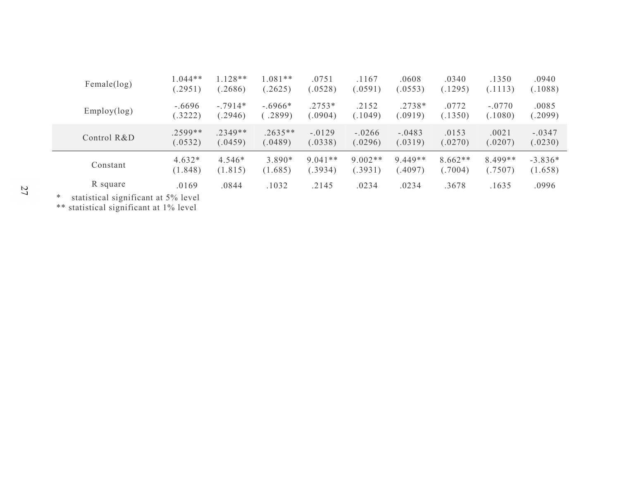| Female(log)                                                                                                                                                                                                                    | $0.044**$                                                                                                                                                                                                                                                                                                          | $1.128**$ | $.081**$  | .0751     | .1167     | .0608     | .0340     | .1350    | .0940     |
|--------------------------------------------------------------------------------------------------------------------------------------------------------------------------------------------------------------------------------|--------------------------------------------------------------------------------------------------------------------------------------------------------------------------------------------------------------------------------------------------------------------------------------------------------------------|-----------|-----------|-----------|-----------|-----------|-----------|----------|-----------|
|                                                                                                                                                                                                                                | (.2951)                                                                                                                                                                                                                                                                                                            | (.2686)   | (.2625)   | (0528)    | (.0591)   | (.0553)   | (.1295)   | (.1113)  | (.1088)   |
| Employ(log)                                                                                                                                                                                                                    | $-.6696$                                                                                                                                                                                                                                                                                                           | $-.7914*$ | $-.6966*$ | $.2753*$  | .2152     | $.2738*$  | .0772     | $-.0770$ | .0085     |
|                                                                                                                                                                                                                                | (.3222)                                                                                                                                                                                                                                                                                                            | (.2946)   | .2899)    | 0904)     | (.1049)   | (0.0919)  | (.1350)   | (.1080)  | (.2099)   |
| Control R&D                                                                                                                                                                                                                    | $.2599**$                                                                                                                                                                                                                                                                                                          | $.2349**$ | $.2635**$ | $-.0129$  | $-.0266$  | $-.0483$  | .0153     | .0021    | $-.0347$  |
|                                                                                                                                                                                                                                | (.0532)                                                                                                                                                                                                                                                                                                            | (.0459)   | (.0489)   | (.0338)   | (.0296)   | (.0319)   | (.0270)   | (.0207)  | (.0230)   |
| Constant                                                                                                                                                                                                                       | $4.632*$                                                                                                                                                                                                                                                                                                           | 4.546*    | $3.890*$  | $9.041**$ | $9.002**$ | $9.449**$ | $8.662**$ | 8.499**  | $-3.836*$ |
|                                                                                                                                                                                                                                | (1.848)                                                                                                                                                                                                                                                                                                            | (1.815)   | (1.685)   | (.3934)   | (.3931)   | (.4097)   | (.7004)   | (.7507)  | (1.658)   |
| R square                                                                                                                                                                                                                       | .0169                                                                                                                                                                                                                                                                                                              | .0844     | .1032     | .2145     | .0234     | .0234     | .3678     | .1635    | .0996     |
| and a structure of the structure of the structure of the structure of the structure of the structure of the structure of the structure of the structure of the structure of the structure of the structure of the structure of | $\sqrt{2}$ $\sqrt{2}$ $\sqrt{2}$ $\sqrt{2}$ $\sqrt{2}$ $\sqrt{2}$ $\sqrt{2}$ $\sqrt{2}$ $\sqrt{2}$ $\sqrt{2}$ $\sqrt{2}$ $\sqrt{2}$ $\sqrt{2}$ $\sqrt{2}$ $\sqrt{2}$ $\sqrt{2}$ $\sqrt{2}$ $\sqrt{2}$ $\sqrt{2}$ $\sqrt{2}$ $\sqrt{2}$ $\sqrt{2}$ $\sqrt{2}$ $\sqrt{2}$ $\sqrt{2}$ $\sqrt{2}$ $\sqrt{2}$ $\sqrt{2$ |           |           |           |           |           |           |          |           |

\* statistical significant at 5% level

\*\* statistical significant at 1% level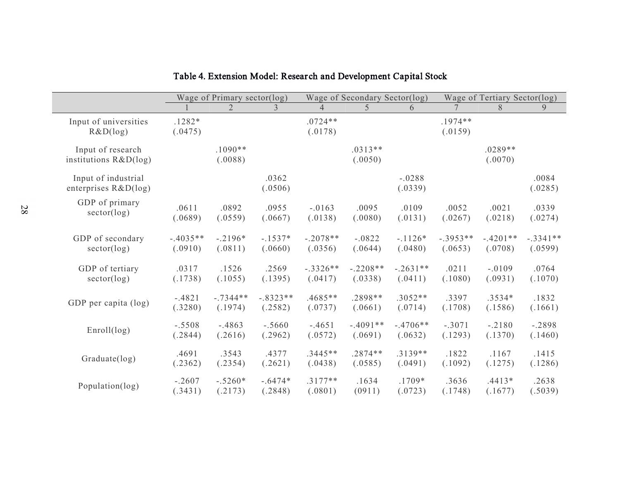|                                                | Wage of Primary sector(log) |                      |                  |                      | Wage of Secondary Sector(log) |                     | Wage of Tertiary Sector(log) |                      |                  |  |
|------------------------------------------------|-----------------------------|----------------------|------------------|----------------------|-------------------------------|---------------------|------------------------------|----------------------|------------------|--|
|                                                |                             | $\overline{2}$       | 3                | $\overline{4}$       | 5                             | 6                   |                              | 8                    | 9                |  |
| Input of universities<br>R&D(log)              | $.1282*$<br>(.0475)         |                      |                  | $.0724**$<br>(.0178) |                               |                     | $.1974**$<br>(.0159)         |                      |                  |  |
| Input of research<br>institutions $R&D(\log)$  |                             | $.1090**$<br>(.0088) |                  |                      | $.0313**$<br>(.0050)          |                     |                              | $.0289**$<br>(.0070) |                  |  |
| Input of industrial<br>enterprises $R&D(\log)$ |                             |                      | .0362<br>(.0506) |                      |                               | $-.0288$<br>(.0339) |                              |                      | .0084<br>(.0285) |  |
| GDP of primary                                 | .0611                       | .0892                | .0955            | $-.0163$             | .0095                         | .0109               | .0052                        | .0021                | .0339            |  |
| sector(log)                                    | (.0689)                     | (.0559)              | (.0667)          | (.0138)              | (.0080)                       | (.0131)             | (.0267)                      | (.0218)              | (.0274)          |  |
| GDP of secondary                               | $-.4035**$                  | $-.2196*$            | $-.1537*$        | $-.2078**$           | $-.0822$                      | $-.1126*$           | $-.3953**$                   | $-.4201**$           | $-.3341**$       |  |
| sector(log)                                    | (.0910)                     | (.0811)              | (.0660)          | (.0356)              | (.0644)                       | (.0480)             | (.0653)                      | (.0708)              | (.0599)          |  |
| GDP of tertiary                                | .0317                       | .1526                | .2569            | $-.3326**$           | $-.2208**$                    | $-.2631**$          | .0211                        | $-.0109$             | .0764            |  |
| sector(log)                                    | (.1738)                     | (.1055)              | (.1395)          | (.0417)              | (.0338)                       | (.0411)             | (.1080)                      | (.0931)              | (.1070)          |  |
| GDP per capita (log)                           | $-.4821$                    | $-.7344**$           | $-.8323**$       | $.4685**$            | $.2898**$                     | $.3052**$           | .3397                        | .3534*               | .1832            |  |
|                                                | (.3280)                     | (.1974)              | (.2582)          | (.0737)              | (.0661)                       | (.0714)             | (.1708)                      | (.1586)              | (.1661)          |  |
| Enroll(log)                                    | $-.5508$                    | $-.4863$             | $-.5660$         | $-.4651$             | $-.4091**$                    | $-.4706**$          | $-.3071$                     | $-.2180$             | $-.2898$         |  |
|                                                | (.2844)                     | (.2616)              | (.2962)          | (.0572)              | (.0691)                       | (.0632)             | (.1293)                      | (.1370)              | (.1460)          |  |
| Graduate(log)                                  | .4691                       | .3543                | .4377            | $.3445**$            | $.2874**$                     | $.3139**$           | .1822                        | .1167                | .1415            |  |
|                                                | (.2362)                     | (.2354)              | (.2621)          | (.0438)              | (.0585)                       | (.0491)             | (.1092)                      | (.1275)              | (.1286)          |  |
| Population(log)                                | $-.2607$                    | $-.5260*$            | $-.6474*$        | $.3177**$            | .1634                         | $.1709*$            | .3636                        | $.4413*$             | .2638            |  |
|                                                | (.3431)                     | (.2173)              | (.2848)          | (.0801)              | (0911)                        | (.0723)             | (.1748)                      | (.1677)              | (.5039)          |  |

# Table 4. Extension Model: Resear ch and Development Capital Stock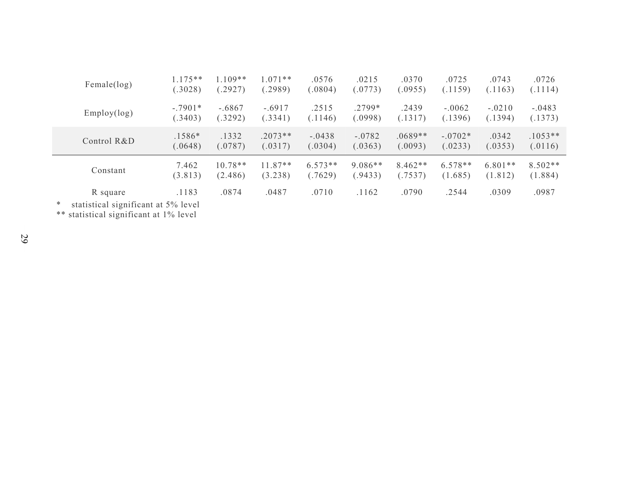| Female(log)                                                | $.175**$  | $.109**$  | $1.071**$ | .0576     | .0215     | .0370     | .0725     | .0743     | .0726     |
|------------------------------------------------------------|-----------|-----------|-----------|-----------|-----------|-----------|-----------|-----------|-----------|
|                                                            | (.3028)   | .2927)    | (2989)    | (.0804)   | (.0773)   | (.0955)   | (.1159)   | (.1163)   | (.1114)   |
| Employ(log)                                                | $-.7901*$ | $-.6867$  | $-.6917$  | .2515     | .2799*    | .2439     | $-.0062$  | $-.0210$  | $-.0483$  |
|                                                            | (.3403)   | (.3292)   | (.3341)   | (.1146)   | (.0998)   | (.1317)   | (.1396)   | (.1394)   | (.1373)   |
| Control R&D                                                | $.1586*$  | .1332     | $.2073**$ | $-.0438$  | $-.0782$  | $.0689**$ | $-.0702*$ | .0342     | $.1053**$ |
|                                                            | (.0648)   | (.0787)   | (.0317)   | (.0304)   | (.0363)   | (.0093)   | (.0233)   | (.0353)   | (.0116)   |
| Constant                                                   | 7.462     | $10.78**$ | $11.87**$ | $6.573**$ | $9.086**$ | $8.462**$ | $6.578**$ | $6.801**$ | $8.502**$ |
|                                                            | (3.813)   | (2.486)   | (3.238)   | (.7629)   | (9433)    | (.7537)   | (1.685)   | (1.812)   | (1.884)   |
| R square<br>statistical significant of E0/ lavel<br>$\ast$ | .1183     | .0874     | .0487     | .0710     | .1162     | .0790     | .2544     | .0309     | .0987     |

\* statistical significant at 5% level

\*\* statistical significant at 1% level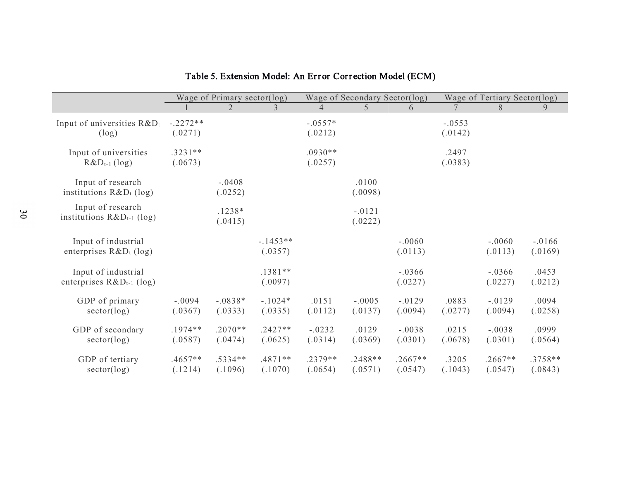|                                 | Wage of Primary sector(log) |           |           |           | Wage of Secondary Sector(log) |           | Wage of Tertiary Sector(log) |           |           |  |
|---------------------------------|-----------------------------|-----------|-----------|-----------|-------------------------------|-----------|------------------------------|-----------|-----------|--|
|                                 |                             | 2         | 3         | 4         | 5                             | 6         |                              | 8         | 9         |  |
| Input of universities $R\&D_t$  | $-.2272**$                  |           |           | $-.0557*$ |                               |           | $-.0553$                     |           |           |  |
| $(\log)$                        | (.0271)                     |           |           | (.0212)   |                               |           | (.0142)                      |           |           |  |
|                                 |                             |           |           |           |                               |           |                              |           |           |  |
| Input of universities           | $.3231**$                   |           |           | $.0930**$ |                               |           | .2497                        |           |           |  |
| $R&D_{t-1}$ (log)               | (.0673)                     |           |           | (.0257)   |                               |           | (.0383)                      |           |           |  |
|                                 |                             |           |           |           |                               |           |                              |           |           |  |
| Input of research               |                             | $-.0408$  |           |           | .0100                         |           |                              |           |           |  |
| institutions $R&D_t$ (log)      |                             | (.0252)   |           |           | (.0098)                       |           |                              |           |           |  |
| Input of research               |                             | $.1238*$  |           |           | $-.0121$                      |           |                              |           |           |  |
| institutions $R\&D_{t-1}$ (log) |                             | (.0415)   |           |           | (.0222)                       |           |                              |           |           |  |
|                                 |                             |           |           |           |                               |           |                              |           |           |  |
| Input of industrial             |                             |           | $-1453**$ |           |                               | $-.0060$  |                              | $-.0060$  | $-.0166$  |  |
| enterprises $R&D_t$ (log)       |                             |           | (.0357)   |           |                               | (.0113)   |                              | (.0113)   | (.0169)   |  |
|                                 |                             |           |           |           |                               |           |                              |           |           |  |
| Input of industrial             |                             |           | $.1381**$ |           |                               | $-.0366$  |                              | $-.0366$  | .0453     |  |
| enterprises $R&D_{t-1}$ (log)   |                             |           | (.0097)   |           |                               | (.0227)   |                              | (.0227)   | (.0212)   |  |
|                                 |                             |           |           |           |                               |           |                              |           |           |  |
| GDP of primary                  | $-.0094$                    | $-.0838*$ | $-.1024*$ | .0151     | $-.0005$                      | $-.0129$  | .0883                        | $-.0129$  | .0094     |  |
| sector(log)                     | (.0367)                     | (.0333)   | (.0335)   | (.0112)   | (.0137)                       | (.0094)   | (.0277)                      | (.0094)   | (.0258)   |  |
| GDP of secondary                | $.1974**$                   | $.2070**$ | $.2427**$ | $-.0232$  | .0129                         | $-.0038$  | .0215                        | $-.0038$  | .0999     |  |
| sector(log)                     | (.0587)                     | (.0474)   | (.0625)   | (.0314)   | (.0369)                       | (.0301)   | (.0678)                      | (.0301)   | (.0564)   |  |
|                                 |                             |           |           |           |                               |           |                              |           |           |  |
| GDP of tertiary                 | $.4657**$                   | $.5334**$ | $.4871**$ | $.2379**$ | $.2488**$                     | $.2667**$ | .3205                        | $.2667**$ | $.3758**$ |  |
| sector(log)                     | (.1214)                     | (.1096)   | (.1070)   | (.0654)   | (.0571)                       | (.0547)   | (.1043)                      | (.0547)   | (.0843)   |  |

# Table 5. Extension Model: An Error Corr ection Model (ECM)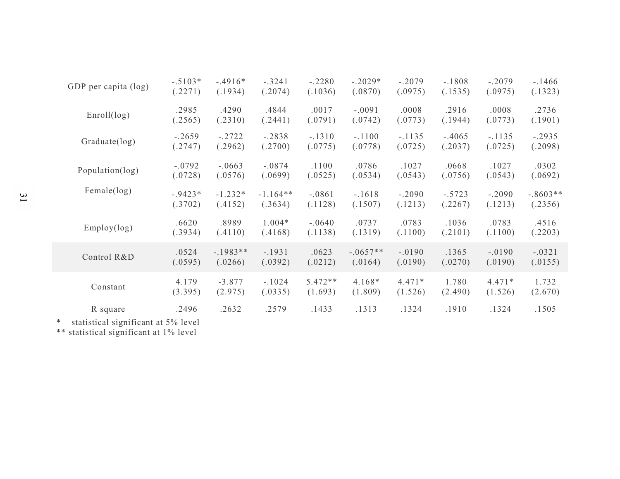| *<br>statistical significant at 5% level |           |           |            |           |            |          |          |          |            |
|------------------------------------------|-----------|-----------|------------|-----------|------------|----------|----------|----------|------------|
| R square                                 | .2496     | .2632     | .2579      | .1433     | .1313      | .1324    | .1910    | .1324    | .1505      |
| Constant                                 | 4.179     | $-3.877$  | $-.1024$   | $5.472**$ | $4.168*$   | $4.471*$ | 1.780    | $4.471*$ | 1.732      |
|                                          | (3.395)   | (2.975)   | (.0335)    | (1.693)   | (1.809)    | (1.526)  | (2.490)  | (1.526)  | (2.670)    |
| Control R&D                              | .0524     | $-1983**$ | $-.1931$   | .0623     | $-.0657**$ | $-.0190$ | .1365    | $-.0190$ | $-.0321$   |
|                                          | (.0595)   | (.0266)   | (.0392)    | (.0212)   | (.0164)    | (.0190)  | (.0270)  | (.0190)  | (.0155)    |
| Employ(log)                              | .6620     | .8989     | $1.004*$   | $-.0640$  | .0737      | .0783    | .1036    | .0783    | .4516      |
|                                          | (.3934)   | (.4110)   | (.4168)    | (.1138)   | (.1319)    | (.1100)  | (.2101)  | (.1100)  | (.2203)    |
| Female(log)                              | $-.9423*$ | $-1.232*$ | $-1.164**$ | $-.0861$  | $-.1618$   | $-.2090$ | $-.5723$ | $-.2090$ | $-.8603**$ |
|                                          | (.3702)   | (.4152)   | (.3634)    | (.1128)   | (.1507)    | (.1213)  | (.2267)  | (.1213)  | (.2356)    |
| Population(log)                          | $-.0792$  | $-.0663$  | $-.0874$   | .1100     | .0786      | .1027    | .0668    | .1027    | .0302      |
|                                          | (.0728)   | (.0576)   | (.0699)    | (.0525)   | (.0534)    | (.0543)  | (.0756)  | (.0543)  | (.0692)    |
| Graduate(log)                            | $-.2659$  | $-.2722$  | $-.2838$   | $-.1310$  | $-.1100$   | $-.1135$ | $-.4065$ | $-.1135$ | $-.2935$   |
|                                          | (.2747)   | (.2962)   | (.2700)    | (.0775)   | (.0778)    | (.0725)  | (.2037)  | (.0725)  | (.2098)    |
| Enroll(log)                              | .2985     | .4290     | .4844      | .0017     | $-.0091$   | .0008    | .2916    | .0008    | .2736      |
|                                          | (.2565)   | (.2310)   | (.2441)    | (.0791)   | (.0742)    | (.0773)  | (.1944)  | (.0773)  | (.1901)    |
| GDP per capita (log)                     | $-.5103*$ | $-.4916*$ | $-.3241$   | $-.2280$  | $-.2029*$  | $-.2079$ | $-.1808$ | $-.2079$ | $-1466$    |
|                                          | (.2271)   | (.1934)   | (.2074)    | (.1036)   | (.0870)    | (.0975)  | (.1535)  | (.0975)  | (.1323)    |

\*\* statistical significant at 1% level

 $\mathfrak{Z}1$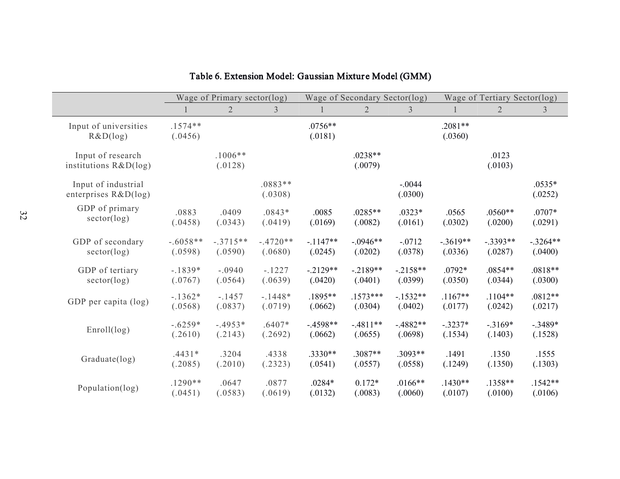|                          |            | Wage of Primary sector(log) |                |            | Wage of Secondary Sector(log) |                | Wage of Tertiary Sector(log) |                |                |  |
|--------------------------|------------|-----------------------------|----------------|------------|-------------------------------|----------------|------------------------------|----------------|----------------|--|
|                          |            | $\overline{2}$              | $\mathfrak{Z}$ |            | $\overline{2}$                | $\overline{3}$ |                              | $\overline{2}$ | $\mathfrak{Z}$ |  |
| Input of universities    | $.1574**$  |                             |                | $.0756**$  |                               |                | $.2081**$                    |                |                |  |
| R&D(log)                 | (.0456)    |                             |                | (.0181)    |                               |                | (.0360)                      |                |                |  |
| Input of research        |            | $.1006**$                   |                |            | $.0238**$                     |                |                              | .0123          |                |  |
| institutions $R&D(\log)$ |            | (.0128)                     |                |            | (.0079)                       |                |                              | (.0103)        |                |  |
| Input of industrial      |            |                             | $.0883**$      |            |                               | $-.0044$       |                              |                | $.0535*$       |  |
| enterprises $R&D(log)$   |            |                             | (.0308)        |            |                               | (.0300)        |                              |                | (.0252)        |  |
| GDP of primary           | .0883      | .0409                       | $.0843*$       | .0085      | $.0285**$                     | $.0323*$       | .0565                        | $.0560**$      | $.0707*$       |  |
| sector(log)              | (.0458)    | (.0343)                     | (.0419)        | (.0169)    | (.0082)                       | (.0161)        | (.0302)                      | (.0200)        | (.0291)        |  |
| GDP of secondary         | $-.6058**$ | $-.3715**$                  | $-.4720**$     | $-1147**$  | $-.0946**$                    | $-.0712$       | $-.3619**$                   | $-.3393**$     | $-.3264**$     |  |
| sector(log)              | (.0598)    | (.0590)                     | (.0680)        | (.0245)    | (.0202)                       | (.0378)        | (.0336)                      | (.0287)        | (.0400)        |  |
| GDP of tertiary          | $-.1839*$  | $-.0940$                    | $-1227$        | $-.2129**$ | $-.2189**$                    | $-.2158**$     | $.0792*$                     | .0854**        | $.0818**$      |  |
| sector(log)              | (.0767)    | (.0564)                     | (.0639)        | (.0420)    | (.0401)                       | (.0399)        | (.0350)                      | (.0344)        | (.0300)        |  |
| GDP per capita (log)     | $-.1362*$  | $-.1457$                    | $-.1448*$      | .1895**    | $.1573***$                    | $-1532**$      | $.1167**$                    | $.1104**$      | $.0812**$      |  |
|                          | (.0568)    | (.0837)                     | (.0719)        | (.0662)    | (.0304)                       | (.0402)        | (.0177)                      | (.0242)        | (.0217)        |  |
| Enroll(log)              | $-.6259*$  | $-.4953*$                   | $.6407*$       | $-4598**$  | $-4811**$                     | $-.4882**$     | $-.3237*$                    | $-3169*$       | $-.3489*$      |  |
|                          | (.2610)    | (.2143)                     | (.2692)        | (.0662)    | (.0655)                       | (.0698)        | (.1534)                      | (.1403)        | (.1528)        |  |
| Graduate(log)            | $.4431*$   | .3204                       | .4338          | .3330**    | $.3087**$                     | .3093**        | .1491                        | .1350          | .1555          |  |
|                          | (.2085)    | (.2010)                     | (.2323)        | (.0541)    | (.0557)                       | (.0558)        | (.1249)                      | (.1350)        | (.1303)        |  |
| Population(log)          | $.1290**$  | .0647                       | .0877          | $.0284*$   | $0.172*$                      | $.0166**$      | $.1430**$                    | .1358**        | $.1542**$      |  |
|                          | (.0451)    | (.0583)                     | (.0619)        | (.0132)    | (.0083)                       | (.0060)        | (.0107)                      | (.0100)        | (.0106)        |  |

# Table 6. Extension Model: Gaussian Mixture Model (GMM)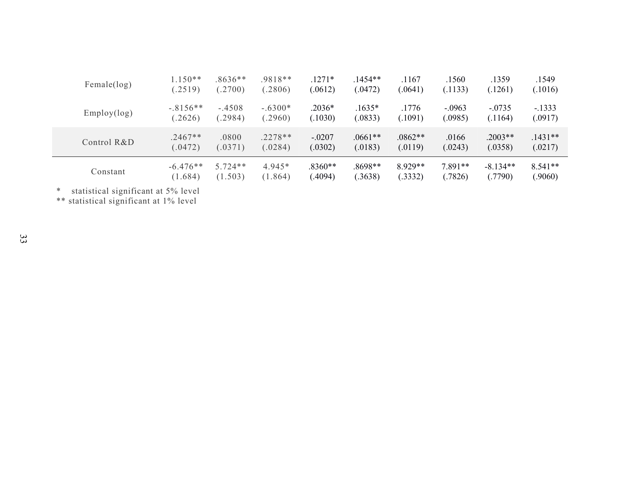| Female(log) | $1.150**$  | $.8636**$ | $.9818**$ | $.1271*$ | $1454**$  | .1167     | .1560     | .1359      | .1549     |
|-------------|------------|-----------|-----------|----------|-----------|-----------|-----------|------------|-----------|
|             | (.2519)    | (2700)    | (2806)    | (.0612)  | (.0472)   | (.0641)   | (.1133)   | (.1261)    | (.1016)   |
| Employ(log) | $-.8156**$ | $-.4508$  | $-.6300*$ | $.2036*$ | $.1635*$  | .1776     | $-.0963$  | $-0.0735$  | $-.1333$  |
|             | .2626)     | (.2984)   | (.2960)   | (.1030)  | (.0833)   | .1091)    | (.0985)   | (.1164)    | (.0917)   |
| Control R&D | $.2467**$  | .0800     | $.2278**$ | $-.0207$ | $.0661**$ | $.0862**$ | .0166     | $.2003**$  | $.1431**$ |
|             | (.0472)    | (.0371)   | (.0284)   | (.0302)  | (.0183)   | (.0119)   | (.0243)   | (.0358)    | (.0217)   |
| Constant    | $-6.476**$ | $5.724**$ | $4.945*$  | .8360**  | .8698**   | 8.929**   | $7.891**$ | $-8.134**$ | $8.541**$ |
|             | (1.684)    | (1.503)   | (1.864)   | (.4094)  | (.3638)   | (.3332)   | (.7826)   | (.7790)    | (.9060)   |

\* statistical significant at 5% level

\*\* statistical significant at 1% level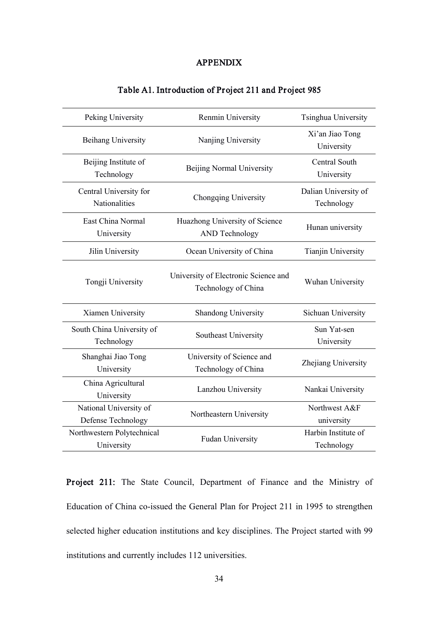### APPENDIX

| Peking University                            | Renmin University                                           | Tsinghua University                |
|----------------------------------------------|-------------------------------------------------------------|------------------------------------|
| Beihang University                           | Nanjing University                                          | Xi'an Jiao Tong<br>University      |
| Beijing Institute of<br>Technology           | Beijing Normal University                                   | Central South<br>University        |
| Central University for<br>Nationalities      | Chongqing University                                        | Dalian University of<br>Technology |
| East China Normal<br>University              | Huazhong University of Science<br><b>AND Technology</b>     | Hunan university                   |
| Jilin University                             | Ocean University of China                                   | <b>Tianjin University</b>          |
| Tongji University                            | University of Electronic Science and<br>Technology of China | Wuhan University                   |
| Xiamen University                            | Shandong University                                         | Sichuan University                 |
| South China University of<br>Technology      | Southeast University                                        | Sun Yat-sen<br>University          |
| Shanghai Jiao Tong<br>University             | University of Science and<br>Technology of China            | Zhejiang University                |
| China Agricultural<br>University             | Lanzhou University                                          | Nankai University                  |
| National University of<br>Defense Technology | Northeastern University                                     | Northwest A&F<br>university        |
| Northwestern Polytechnical<br>University     | <b>Fudan University</b>                                     | Harbin Institute of<br>Technology  |

### Table A1. Introduction of Project 211 and Project 985

Project 211: The State Council, Department of Finance and the Ministry of Education of China co-issued the General Plan for Project 211 in 1995 to strengthen selected higher education institutions and key disciplines. The Project started with 99 institutions and currently includes 112 universities.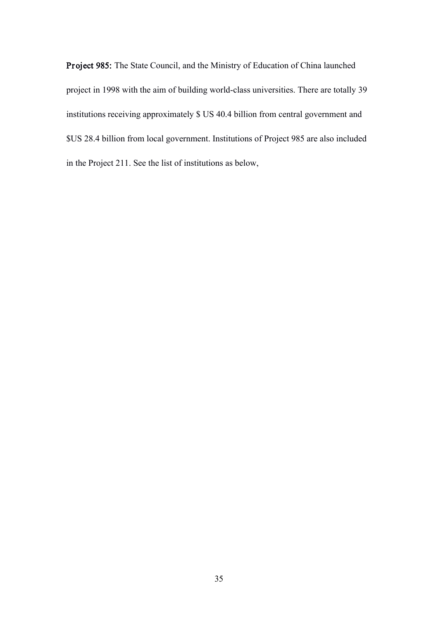Project 985: The State Council, and the Ministry of Education of China launched project in 1998 with the aim of building world-class universities. There are totally 39 institutions receiving approximately \$ US 40.4 billion from central government and \$US 28.4 billion from local government. Institutions of Project 985 are also included in the Project 211. See the list of institutions as below,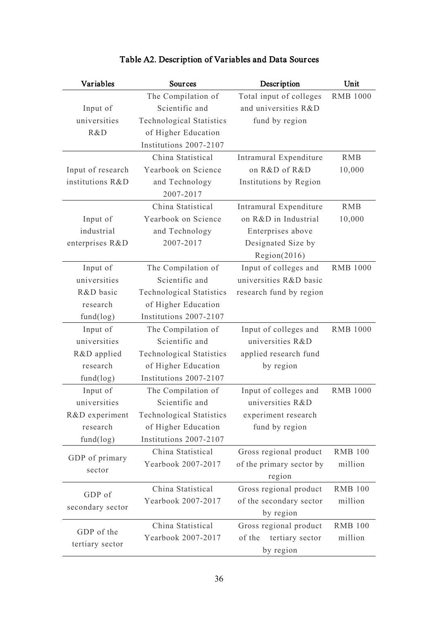| Variables         | Sources                         | Description               | Unit            |
|-------------------|---------------------------------|---------------------------|-----------------|
|                   | The Compilation of              | Total input of colleges   | <b>RMB 1000</b> |
| Input of          | Scientific and                  | and universities R&D      |                 |
| universities      | <b>Technological Statistics</b> | fund by region            |                 |
| R&D               | of Higher Education             |                           |                 |
|                   | Institutions 2007-2107          |                           |                 |
|                   | China Statistical               | Intramural Expenditure    | <b>RMB</b>      |
| Input of research | Yearbook on Science             | on R&D of R&D             | 10,000          |
| institutions R&D  | and Technology                  | Institutions by Region    |                 |
|                   | 2007-2017                       |                           |                 |
|                   | China Statistical               | Intramural Expenditure    | <b>RMB</b>      |
| Input of          | Yearbook on Science             | on R&D in Industrial      | 10,000          |
| industrial        | and Technology                  | Enterprises above         |                 |
| enterprises R&D   | 2007-2017                       | Designated Size by        |                 |
|                   |                                 | Region(2016)              |                 |
| Input of          | The Compilation of              | Input of colleges and     | <b>RMB 1000</b> |
| universities      | Scientific and                  | universities R&D basic    |                 |
| R&D basic         | <b>Technological Statistics</b> | research fund by region   |                 |
| research          | of Higher Education             |                           |                 |
| fund(log)         | Institutions 2007-2107          |                           |                 |
| Input of          | The Compilation of              | Input of colleges and     | <b>RMB 1000</b> |
| universities      | Scientific and                  | universities R&D          |                 |
| R&D applied       | <b>Technological Statistics</b> | applied research fund     |                 |
| research          | of Higher Education             | by region                 |                 |
| fund(log)         | Institutions 2007-2107          |                           |                 |
| Input of          | The Compilation of              | Input of colleges and     | <b>RMB 1000</b> |
| universities      | Scientific and                  | universities R&D          |                 |
| R&D experiment    | <b>Technological Statistics</b> | experiment research       |                 |
| research          | of Higher Education             | fund by region            |                 |
| fund(log)         | Institutions 2007-2107          |                           |                 |
|                   | China Statistical               | Gross regional product    | <b>RMB 100</b>  |
| GDP of primary    | Yearbook 2007-2017              | of the primary sector by  | million         |
| sector            |                                 | region                    |                 |
|                   | China Statistical               | Gross regional product    | <b>RMB 100</b>  |
| GDP of            | Yearbook 2007-2017              | of the secondary sector   | million         |
| secondary sector  |                                 | by region                 |                 |
|                   | China Statistical               | Gross regional product    | <b>RMB 100</b>  |
| GDP of the        | Yearbook 2007-2017              | tertiary sector<br>of the | million         |
| tertiary sector   |                                 | by region                 |                 |

# Table A2. Description of Variables and Data Sour ces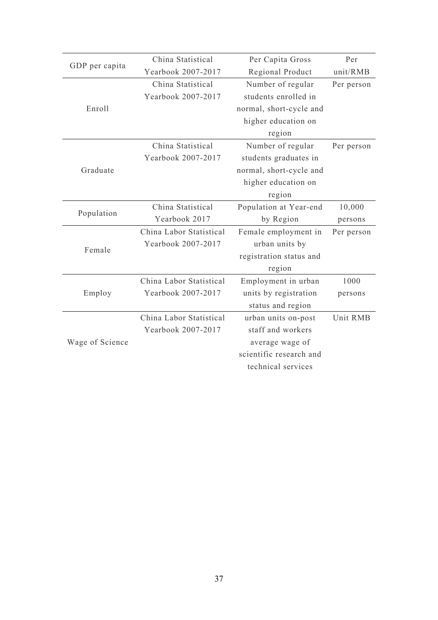| GDP per capita  | China Statistical                             |                                                                                                                                                                                                                                                                                                                       | Per        |
|-----------------|-----------------------------------------------|-----------------------------------------------------------------------------------------------------------------------------------------------------------------------------------------------------------------------------------------------------------------------------------------------------------------------|------------|
|                 | Yearbook 2007-2017                            |                                                                                                                                                                                                                                                                                                                       | unit/RMB   |
|                 | China Statistical                             | Number of regular                                                                                                                                                                                                                                                                                                     | Per person |
|                 | Yearbook 2007-2017                            | students enrolled in                                                                                                                                                                                                                                                                                                  |            |
| Enroll          |                                               | normal, short-cycle and                                                                                                                                                                                                                                                                                               |            |
|                 |                                               | higher education on                                                                                                                                                                                                                                                                                                   |            |
|                 |                                               | region                                                                                                                                                                                                                                                                                                                |            |
|                 | China Statistical                             | Number of regular                                                                                                                                                                                                                                                                                                     | Per person |
|                 | Yearbook 2007-2017                            | students graduates in                                                                                                                                                                                                                                                                                                 |            |
| Graduate        |                                               | normal, short-cycle and                                                                                                                                                                                                                                                                                               |            |
|                 |                                               | higher education on                                                                                                                                                                                                                                                                                                   |            |
|                 |                                               | region                                                                                                                                                                                                                                                                                                                |            |
|                 | China Statistical                             | Population at Year-end                                                                                                                                                                                                                                                                                                | 10,000     |
| Population      | Yearbook 2017                                 | Per Capita Gross<br>Regional Product<br>by Region<br>Female employment in<br>urban units by<br>registration status and<br>region<br>Employment in urban<br>units by registration<br>status and region<br>urban units on-post<br>staff and workers<br>average wage of<br>scientific research and<br>technical services | persons    |
|                 | China Labor Statistical<br>Yearbook 2007-2017 |                                                                                                                                                                                                                                                                                                                       | Per person |
|                 |                                               |                                                                                                                                                                                                                                                                                                                       |            |
| Female          |                                               |                                                                                                                                                                                                                                                                                                                       |            |
|                 |                                               |                                                                                                                                                                                                                                                                                                                       |            |
|                 | China Labor Statistical                       |                                                                                                                                                                                                                                                                                                                       | 1000       |
| Employ          | Yearbook 2007-2017                            |                                                                                                                                                                                                                                                                                                                       | persons    |
|                 |                                               |                                                                                                                                                                                                                                                                                                                       |            |
|                 | China Labor Statistical                       |                                                                                                                                                                                                                                                                                                                       | Unit RMB   |
|                 | Yearbook 2007-2017                            |                                                                                                                                                                                                                                                                                                                       |            |
| Wage of Science |                                               |                                                                                                                                                                                                                                                                                                                       |            |
|                 |                                               |                                                                                                                                                                                                                                                                                                                       |            |
|                 |                                               |                                                                                                                                                                                                                                                                                                                       |            |
|                 |                                               |                                                                                                                                                                                                                                                                                                                       |            |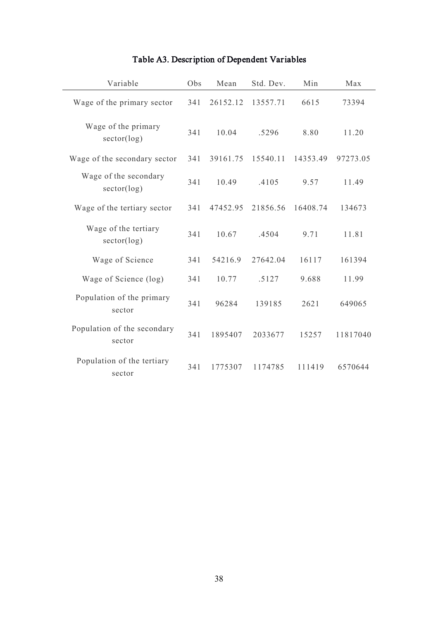| Variable                              | Obs | Mean     | Std. Dev. | Min      | Max      |
|---------------------------------------|-----|----------|-----------|----------|----------|
| Wage of the primary sector            | 341 | 26152.12 | 13557.71  | 6615     | 73394    |
| Wage of the primary<br>sector(log)    | 341 | 10.04    | .5296     | 8.80     | 11.20    |
| Wage of the secondary sector          | 341 | 39161.75 | 15540.11  | 14353.49 | 97273.05 |
| Wage of the secondary<br>sector(log)  | 341 | 10.49    | .4105     | 9.57     | 11.49    |
| Wage of the tertiary sector           | 341 | 47452.95 | 21856.56  | 16408.74 | 134673   |
| Wage of the tertiary<br>sector(log)   | 341 | 10.67    | .4504     | 9.71     | 11.81    |
| Wage of Science                       | 341 | 54216.9  | 27642.04  | 16117    | 161394   |
| Wage of Science (log)                 | 341 | 10.77    | .5127     | 9.688    | 11.99    |
| Population of the primary<br>sector   | 341 | 96284    | 139185    | 2621     | 649065   |
| Population of the secondary<br>sector | 341 | 1895407  | 2033677   | 15257    | 11817040 |
| Population of the tertiary<br>sector  | 341 | 1775307  | 1174785   | 111419   | 6570644  |

# Table A3. Description of Dependent Variables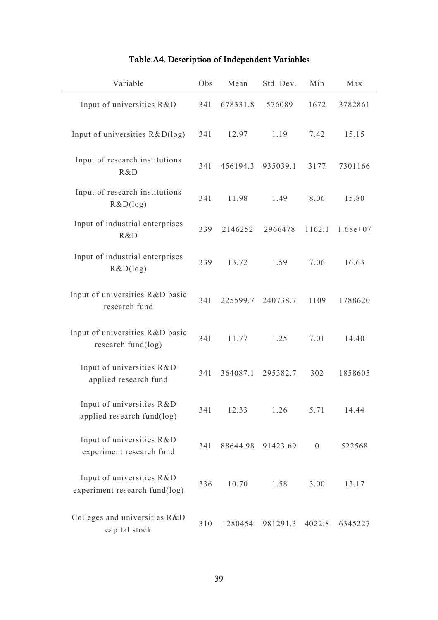| Variable                                                   | Obs | Mean     | Std. Dev. | Min              | Max        |
|------------------------------------------------------------|-----|----------|-----------|------------------|------------|
| Input of universities R&D                                  | 341 | 678331.8 | 576089    | 1672             | 3782861    |
| Input of universities R&D(log)                             | 341 | 12.97    | 1.19      | 7.42             | 15.15      |
| Input of research institutions<br>R&D                      | 341 | 456194.3 | 935039.1  | 3177             | 7301166    |
| Input of research institutions<br>R&D(log)                 | 341 | 11.98    | 1.49      | 8.06             | 15.80      |
| Input of industrial enterprises<br>R&D                     | 339 | 2146252  | 2966478   | 1162.1           | $1.68e+07$ |
| Input of industrial enterprises<br>R&D(log)                | 339 | 13.72    | 1.59      | 7.06             | 16.63      |
| Input of universities R&D basic<br>research fund           | 341 | 225599.7 | 240738.7  | 1109             | 1788620    |
| Input of universities R&D basic<br>research fund(log)      | 341 | 11.77    | 1.25      | 7.01             | 14.40      |
| Input of universities R&D<br>applied research fund         | 341 | 364087.1 | 295382.7  | 302              | 1858605    |
| Input of universities R&D<br>applied research fund(log)    | 341 | 12.33    | 1.26      | 5.71             | 14.44      |
| Input of universities R&D<br>experiment research fund      | 341 | 88644.98 | 91423.69  | $\boldsymbol{0}$ | 522568     |
| Input of universities R&D<br>experiment research fund(log) | 336 | 10.70    | 1.58      | 3.00             | 13.17      |
| Colleges and universities R&D<br>capital stock             | 310 | 1280454  | 981291.3  | 4022.8           | 6345227    |

# Table A4. Description of Independent Variables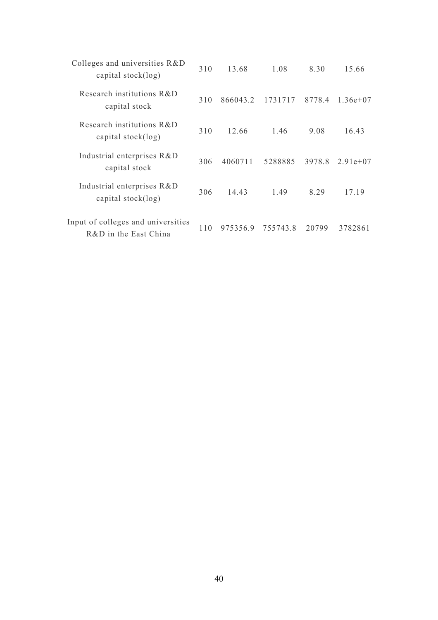| Colleges and universities R&D<br>capital stock(log)         | 310 | 13.68    | 1.08     | 8.30   | 15.66      |
|-------------------------------------------------------------|-----|----------|----------|--------|------------|
| Research institutions R&D<br>capital stock                  | 310 | 866043.2 | 1731717  | 8778.4 | $1.36e+07$ |
| Research institutions R&D<br>capital $stock(log)$           | 310 | 12.66    | 1.46     | 9.08   | 16.43      |
| Industrial enterprises R&D<br>capital stock                 | 306 | 4060711  | 5288885  | 3978.8 | $2.91e+07$ |
| Industrial enterprises R&D<br>capital stock(log)            | 306 | 14.43    | 1.49     | 8.29   | 17.19      |
| Input of colleges and universities<br>R&D in the East China | 110 | 975356.9 | 755743.8 | 20799  | 3782861    |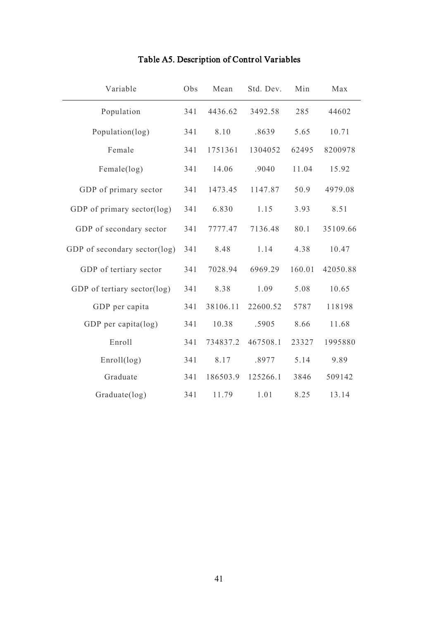| Variable                     | Obs | Mean     | Std. Dev. | Min    | Max      |
|------------------------------|-----|----------|-----------|--------|----------|
| Population                   | 341 | 4436.62  | 3492.58   | 285    | 44602    |
| Population(log)              | 341 | 8.10     | .8639     | 5.65   | 10.71    |
| Female                       | 341 | 1751361  | 1304052   | 62495  | 8200978  |
| Female(log)                  | 341 | 14.06    | .9040     | 11.04  | 15.92    |
| GDP of primary sector        | 341 | 1473.45  | 1147.87   | 50.9   | 4979.08  |
| GDP of primary sector(log)   | 341 | 6.830    | 1.15      | 3.93   | 8.51     |
| GDP of secondary sector      | 341 | 7777.47  | 7136.48   | 80.1   | 35109.66 |
| GDP of secondary sector(log) | 341 | 8.48     | 1.14      | 4.38   | 10.47    |
| GDP of tertiary sector       | 341 | 7028.94  | 6969.29   | 160.01 | 42050.88 |
| GDP of tertiary sector(log)  | 341 | 8.38     | 1.09      | 5.08   | 10.65    |
| GDP per capita               | 341 | 38106.11 | 22600.52  | 5787   | 118198   |
| GDP per capita(log)          | 341 | 10.38    | .5905     | 8.66   | 11.68    |
| Enroll                       | 341 | 734837.2 | 467508.1  | 23327  | 1995880  |
| Enroll(log)                  | 341 | 8.17     | .8977     | 5.14   | 9.89     |
| Graduate                     | 341 | 186503.9 | 125266.1  | 3846   | 509142   |
| Graduate(log)                | 341 | 11.79    | 1.01      | 8.25   | 13.14    |

# Table A5. Description of Control Variables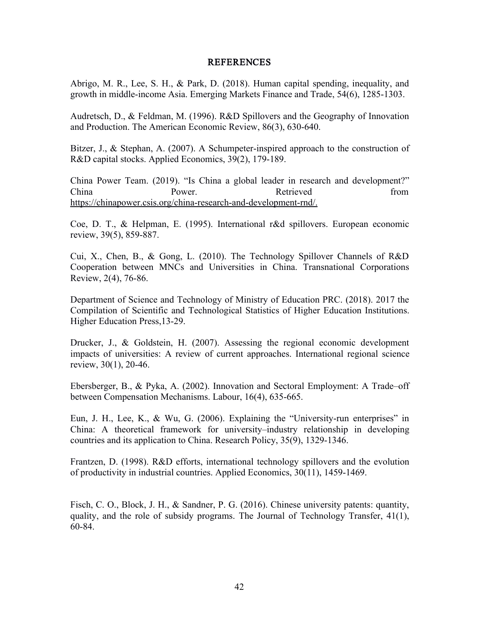### REFERENCES

Abrigo, M. R., Lee, S. H., & Park, D. (2018). Human capital spending, inequality, and growth in middle-income Asia. Emerging Markets Finance and Trade, 54(6), 1285-1303.

Audretsch, D., & Feldman, M. (1996). R&D Spillovers and the Geography of Innovation and Production. The American Economic Review, 86(3), 630-640.

Bitzer, J., & Stephan, A. (2007). A Schumpeter-inspired approach to the construction of R&D capital stocks. Applied Economics, 39(2), 179-189.

China Power Team. (2019). "Is China a global leader in research and development?" China **Power.** Power. Retrieved from https://chinapower.csis.org/china-research-and-development-rnd/.

Coe, D. T., & Helpman, E. (1995). International r&d spillovers. European economic review, 39(5), 859-887.

Cui, X., Chen, B., & Gong, L. (2010). The Technology Spillover Channels of R&D Cooperation between MNCs and Universities in China. Transnational Corporations Review, 2(4), 76-86.

Department of Science and Technology of Ministry of Education PRC. (2018). 2017 the Compilation of Scientific and Technological Statistics of Higher Education Institutions. Higher Education Press,13-29.

Drucker, J., & Goldstein, H. (2007). Assessing the regional economic development impacts of universities: A review of current approaches. International regional science review, 30(1), 20-46.

Ebersberger, B., & Pyka, A. (2002). Innovation and Sectoral Employment: A Trade–off between Compensation Mechanisms. Labour, 16(4), 635-665.

Eun, J. H., Lee, K., & Wu, G. (2006). Explaining the "University-run enterprises" in China: A theoretical framework for university–industry relationship in developing countries and its application to China. Research Policy, 35(9), 1329-1346.

Frantzen, D. (1998). R&D efforts, international technology spillovers and the evolution of productivity in industrial countries. Applied Economics, 30(11), 1459-1469.

Fisch, C. O., Block, J. H., & Sandner, P. G. (2016). Chinese university patents: quantity, quality, and the role of subsidy programs. The Journal of Technology Transfer, 41(1), 60-84.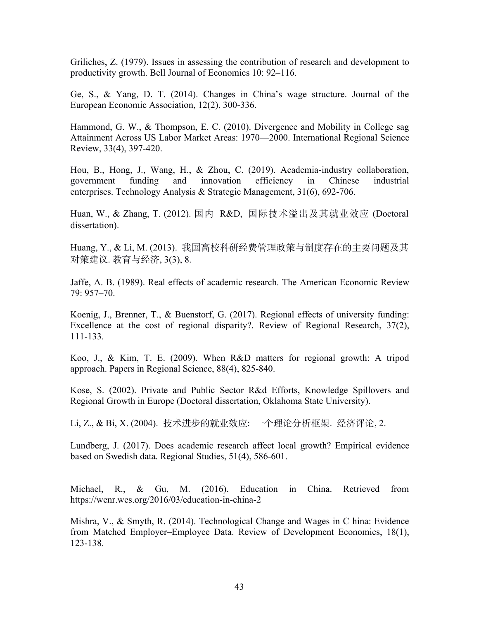Griliches, Z. (1979). Issues in assessing the contribution of research and development to productivity growth. Bell Journal of Economics 10: 92–116.

Ge, S., & Yang, D. T. (2014). Changes in China's wage structure. Journal of the European Economic Association, 12(2), 300-336.

Hammond, G. W., & Thompson, E. C. (2010). Divergence and Mobility in College sag Attainment Across US Labor Market Areas: 1970—2000. International Regional Science Review, 33(4), 397-420.

Hou, B., Hong, J., Wang, H., & Zhou, C. (2019). Academia-industry collaboration, government funding and innovation efficiency in Chinese industrial enterprises. Technology Analysis & Strategic Management, 31(6), 692-706.

Huan, W., & Zhang, T. (2012). 国内 R&D, 国际技术溢出及其就业效应 (Doctoral dissertation).

Huang, Y., & Li, M. (2013). 我国高校科研经费管理政策与制度存在的主要问题及其 对策建议. 教育与经济, 3(3), 8.

Jaffe, A. B. (1989). Real effects of academic research. The American Economic Review 79: 957–70.

Koenig, J., Brenner, T., & Buenstorf, G. (2017). Regional effects of university funding: Excellence at the cost of regional disparity?. Review of Regional Research, 37(2), 111-133.

Koo, J., & Kim, T. E. (2009). When R&D matters for regional growth: A tripod approach. Papers in Regional Science, 88(4), 825-840.

Kose, S. (2002). Private and Public Sector R&d Efforts, Knowledge Spillovers and Regional Growth in Europe (Doctoral dissertation, Oklahoma State University).

Li, Z., & Bi, X. (2004). 技术进步的就业效应: 一个理论分析框架. 经济评论, 2.

Lundberg, J. (2017). Does academic research affect local growth? Empirical evidence based on Swedish data. Regional Studies, 51(4), 586-601.

Michael, R., & Gu, M. (2016). Education in China. Retrieved from <https://wenr.wes.org/2016/03/education-in-china-2>

Mishra, V., & Smyth, R. (2014). Technological Change and Wages in C hina: Evidence from Matched Employer–Employee Data. Review of Development Economics, 18(1), 123-138.